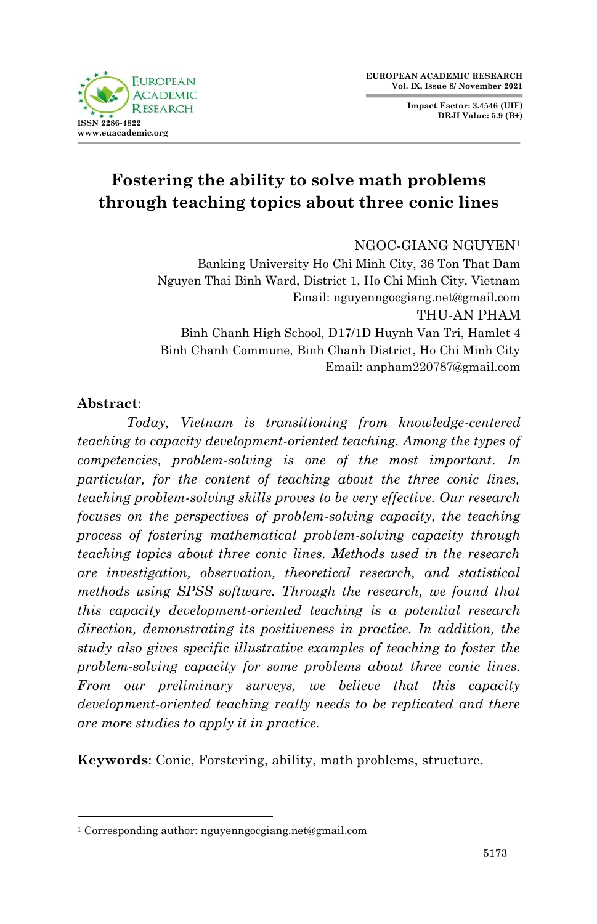**Impact Factor: 3.4546 (UIF) DRJI Value: 5.9 (B+)**



# **Fostering the ability to solve math problems through teaching topics about three conic lines**

NGOC-GIANG NGUYEN<sup>1</sup>

Banking University Ho Chi Minh City, 36 Ton That Dam Nguyen Thai Binh Ward, District 1, Ho Chi Minh City, Vietnam Email: nguyenngocgiang.net@gmail.com THU-AN PHAM Binh Chanh High School, D17/1D Huynh Van Tri, Hamlet 4 Binh Chanh Commune, Binh Chanh District, Ho Chi Minh City Email: anpham220787@gmail.com

#### **Abstract**:

1

*Today, Vietnam is transitioning from knowledge-centered teaching to capacity development-oriented teaching. Among the types of competencies, problem-solving is one of the most important. In particular, for the content of teaching about the three conic lines, teaching problem-solving skills proves to be very effective. Our research focuses on the perspectives of problem-solving capacity, the teaching process of fostering mathematical problem-solving capacity through teaching topics about three conic lines. Methods used in the research are investigation, observation, theoretical research, and statistical methods using SPSS software. Through the research, we found that this capacity development-oriented teaching is a potential research direction, demonstrating its positiveness in practice. In addition, the study also gives specific illustrative examples of teaching to foster the problem-solving capacity for some problems about three conic lines. From our preliminary surveys, we believe that this capacity development-oriented teaching really needs to be replicated and there are more studies to apply it in practice.*

**Keywords**: Conic, Forstering, ability, math problems, structure.

<sup>1</sup> Corresponding author: nguyenngocgiang.net@gmail.com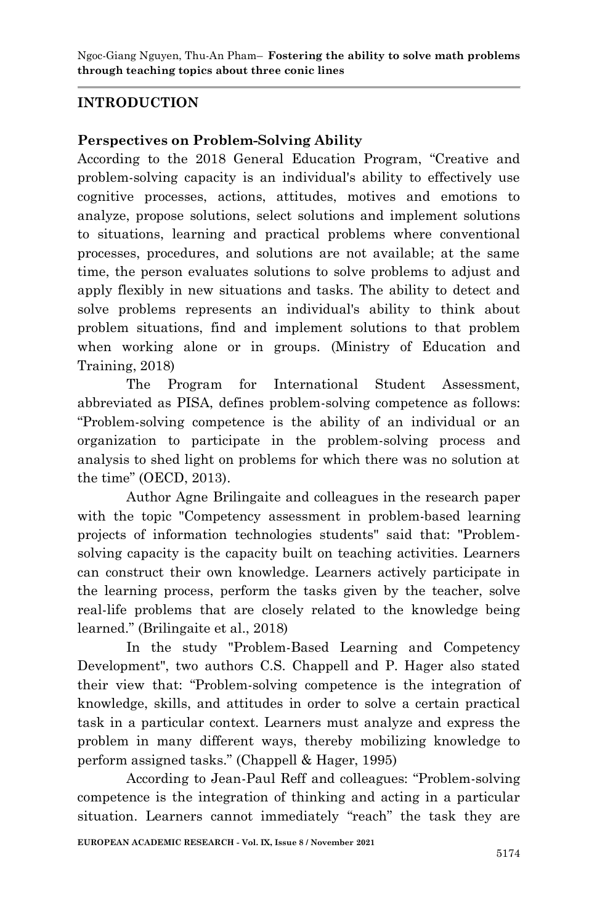## **INTRODUCTION**

## **Perspectives on Problem-Solving Ability**

According to the 2018 General Education Program, "Creative and problem-solving capacity is an individual's ability to effectively use cognitive processes, actions, attitudes, motives and emotions to analyze, propose solutions, select solutions and implement solutions to situations, learning and practical problems where conventional processes, procedures, and solutions are not available; at the same time, the person evaluates solutions to solve problems to adjust and apply flexibly in new situations and tasks. The ability to detect and solve problems represents an individual's ability to think about problem situations, find and implement solutions to that problem when working alone or in groups. (Ministry of Education and Training, 2018)

The Program for International Student Assessment, abbreviated as PISA, defines problem-solving competence as follows: "Problem-solving competence is the ability of an individual or an organization to participate in the problem-solving process and analysis to shed light on problems for which there was no solution at the time" (OECD, 2013).

Author Agne Brilingaite and colleagues in the research paper with the topic "Competency assessment in problem-based learning projects of information technologies students" said that: "Problemsolving capacity is the capacity built on teaching activities. Learners can construct their own knowledge. Learners actively participate in the learning process, perform the tasks given by the teacher, solve real-life problems that are closely related to the knowledge being learned." (Brilingaite et al., 2018)

In the study "Problem-Based Learning and Competency Development", two authors C.S. Chappell and P. Hager also stated their view that: "Problem-solving competence is the integration of knowledge, skills, and attitudes in order to solve a certain practical task in a particular context. Learners must analyze and express the problem in many different ways, thereby mobilizing knowledge to perform assigned tasks." (Chappell & Hager, 1995)

According to Jean-Paul Reff and colleagues: "Problem-solving competence is the integration of thinking and acting in a particular situation. Learners cannot immediately "reach" the task they are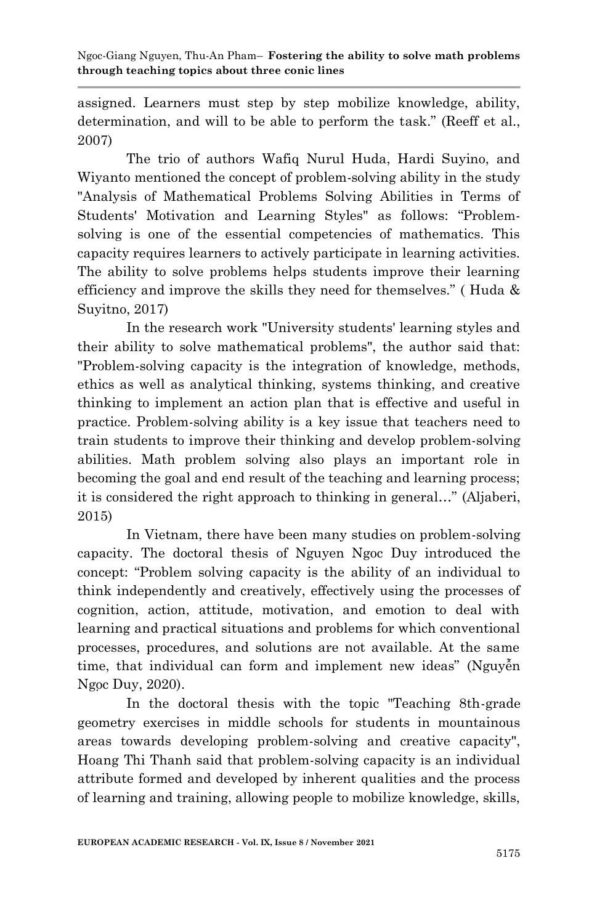assigned. Learners must step by step mobilize knowledge, ability, determination, and will to be able to perform the task." (Reeff et al., 2007)

The trio of authors Wafiq Nurul Huda, Hardi Suyino, and Wiyanto mentioned the concept of problem-solving ability in the study "Analysis of Mathematical Problems Solving Abilities in Terms of Students' Motivation and Learning Styles" as follows: "Problemsolving is one of the essential competencies of mathematics. This capacity requires learners to actively participate in learning activities. The ability to solve problems helps students improve their learning efficiency and improve the skills they need for themselves." ( Huda & Suyitno, 2017)

In the research work "University students' learning styles and their ability to solve mathematical problems", the author said that: "Problem-solving capacity is the integration of knowledge, methods, ethics as well as analytical thinking, systems thinking, and creative thinking to implement an action plan that is effective and useful in practice. Problem-solving ability is a key issue that teachers need to train students to improve their thinking and develop problem-solving abilities. Math problem solving also plays an important role in becoming the goal and end result of the teaching and learning process; it is considered the right approach to thinking in general…" (Aljaberi, 2015)

In Vietnam, there have been many studies on problem-solving capacity. The doctoral thesis of Nguyen Ngoc Duy introduced the concept: "Problem solving capacity is the ability of an individual to think independently and creatively, effectively using the processes of cognition, action, attitude, motivation, and emotion to deal with learning and practical situations and problems for which conventional processes, procedures, and solutions are not available. At the same time, that individual can form and implement new ideas" (Nguyễn Ngoc Duy, 2020).

In the doctoral thesis with the topic "Teaching 8th-grade geometry exercises in middle schools for students in mountainous areas towards developing problem-solving and creative capacity", Hoang Thi Thanh said that problem-solving capacity is an individual attribute formed and developed by inherent qualities and the process of learning and training, allowing people to mobilize knowledge, skills,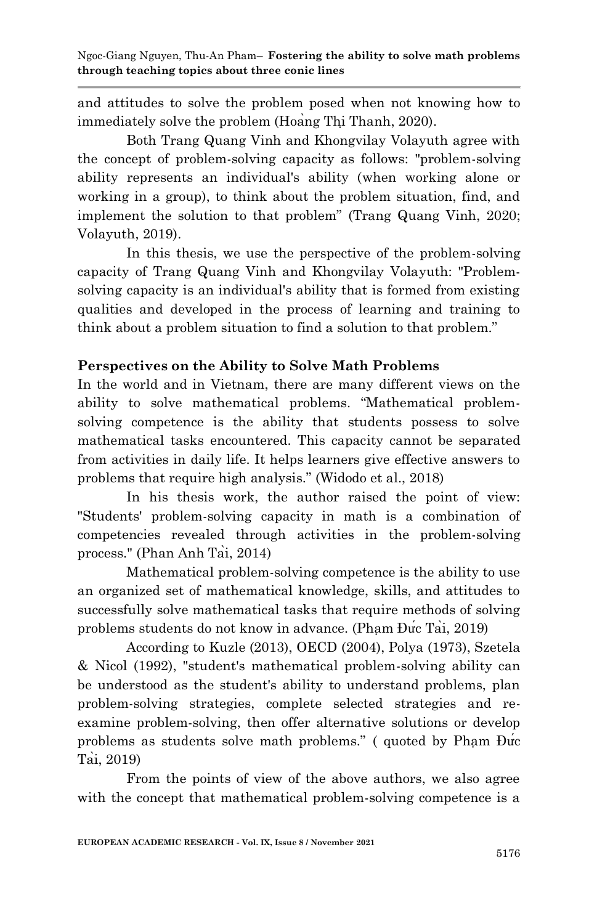and attitudes to solve the problem posed when not knowing how to immediately solve the problem (Hoang Thi Thanh, 2020).

Both Trang Quang Vinh and Khongvilay Volayuth agree with the concept of problem-solving capacity as follows: "problem-solving ability represents an individual's ability (when working alone or working in a group), to think about the problem situation, find, and implement the solution to that problem" (Trang Quang Vinh, 2020; Volayuth, 2019).

In this thesis, we use the perspective of the problem-solving capacity of Trang Quang Vinh and Khongvilay Volayuth: "Problemsolving capacity is an individual's ability that is formed from existing qualities and developed in the process of learning and training to think about a problem situation to find a solution to that problem."

## **Perspectives on the Ability to Solve Math Problems**

In the world and in Vietnam, there are many different views on the ability to solve mathematical problems. "Mathematical problemsolving competence is the ability that students possess to solve mathematical tasks encountered. This capacity cannot be separated from activities in daily life. It helps learners give effective answers to problems that require high analysis." (Widodo et al., 2018)

In his thesis work, the author raised the point of view: "Students' problem-solving capacity in math is a combination of competencies revealed through activities in the problem-solving process." (Phan Anh Tai,  $2014$ )

Mathematical problem-solving competence is the ability to use an organized set of mathematical knowledge, skills, and attitudes to successfully solve mathematical tasks that require methods of solving problems students do not know in advance. (Pham Đưc Tai, 2019)

According to Kuzle (2013), OECD (2004), Polya (1973), Szetela & Nicol (1992), "student's mathematical problem-solving ability can be understood as the student's ability to understand problems, plan problem-solving strategies, complete selected strategies and reexamine problem-solving, then offer alternative solutions or develop problems as students solve math problems." (quoted by Pham Duc  $\overrightarrow{\text{Tail}}$ , 2019)

From the points of view of the above authors, we also agree with the concept that mathematical problem-solving competence is a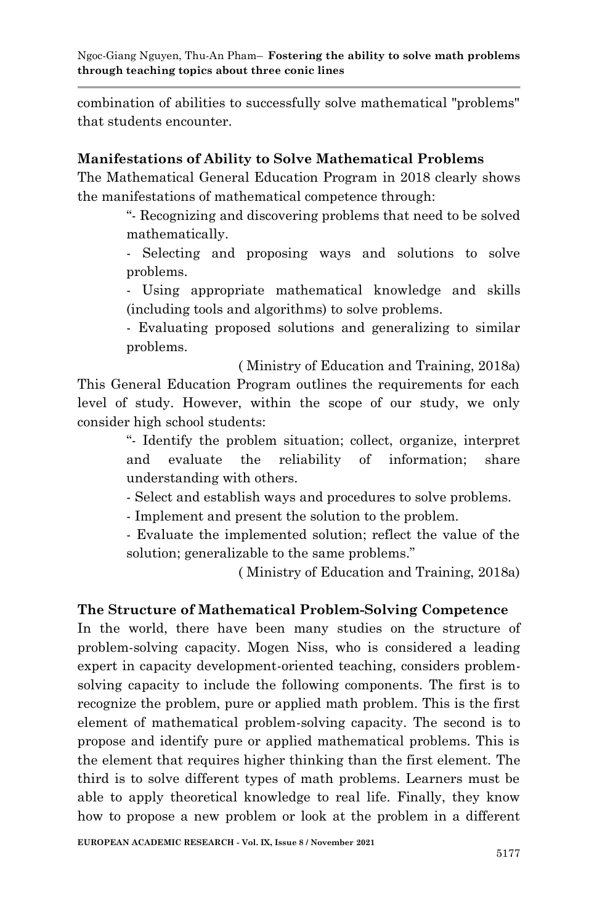combination of abilities to successfully solve mathematical "problems" that students encounter.

## **Manifestations of Ability to Solve Mathematical Problems**

The Mathematical General Education Program in 2018 clearly shows the manifestations of mathematical competence through:

> "- Recognizing and discovering problems that need to be solved mathematically.

> - Selecting and proposing ways and solutions to solve problems.

> - Using appropriate mathematical knowledge and skills (including tools and algorithms) to solve problems.

> - Evaluating proposed solutions and generalizing to similar problems.

( Ministry of Education and Training, 2018a) This General Education Program outlines the requirements for each level of study. However, within the scope of our study, we only consider high school students:

> "- Identify the problem situation; collect, organize, interpret and evaluate the reliability of information; share understanding with others.

- Select and establish ways and procedures to solve problems.

- Implement and present the solution to the problem.

- Evaluate the implemented solution; reflect the value of the solution; generalizable to the same problems."

( Ministry of Education and Training, 2018a)

## **The Structure of Mathematical Problem-Solving Competence**

In the world, there have been many studies on the structure of problem-solving capacity. Mogen Niss, who is considered a leading expert in capacity development-oriented teaching, considers problemsolving capacity to include the following components. The first is to recognize the problem, pure or applied math problem. This is the first element of mathematical problem-solving capacity. The second is to propose and identify pure or applied mathematical problems. This is the element that requires higher thinking than the first element. The third is to solve different types of math problems. Learners must be able to apply theoretical knowledge to real life. Finally, they know how to propose a new problem or look at the problem in a different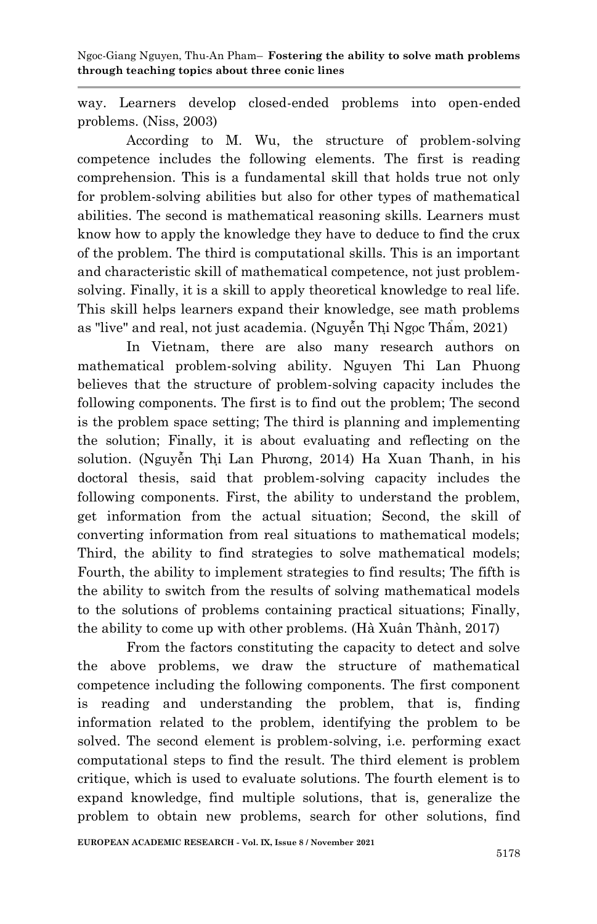way. Learners develop closed-ended problems into open-ended problems. (Niss, 2003)

According to M. Wu, the structure of problem-solving competence includes the following elements. The first is reading comprehension. This is a fundamental skill that holds true not only for problem-solving abilities but also for other types of mathematical abilities. The second is mathematical reasoning skills. Learners must know how to apply the knowledge they have to deduce to find the crux of the problem. The third is computational skills. This is an important and characteristic skill of mathematical competence, not just problemsolving. Finally, it is a skill to apply theoretical knowledge to real life. This skill helps learners expand their knowledge, see math problems as "live" and real, not just academia. (Nguyễn Thị Ngọc Thẩm, 2021)

In Vietnam, there are also many research authors on mathematical problem-solving ability. Nguyen Thi Lan Phuong believes that the structure of problem-solving capacity includes the following components. The first is to find out the problem; The second is the problem space setting; The third is planning and implementing the solution; Finally, it is about evaluating and reflecting on the solution. (Nguyễn Thị Lan Phương, 2014) Ha Xuan Thanh, in his doctoral thesis, said that problem-solving capacity includes the following components. First, the ability to understand the problem, get information from the actual situation; Second, the skill of converting information from real situations to mathematical models; Third, the ability to find strategies to solve mathematical models; Fourth, the ability to implement strategies to find results; The fifth is the ability to switch from the results of solving mathematical models to the solutions of problems containing practical situations; Finally, the ability to come up with other problems. (Hà Xuân Thành, 2017)

From the factors constituting the capacity to detect and solve the above problems, we draw the structure of mathematical competence including the following components. The first component is reading and understanding the problem, that is, finding information related to the problem, identifying the problem to be solved. The second element is problem-solving, i.e. performing exact computational steps to find the result. The third element is problem critique, which is used to evaluate solutions. The fourth element is to expand knowledge, find multiple solutions, that is, generalize the problem to obtain new problems, search for other solutions, find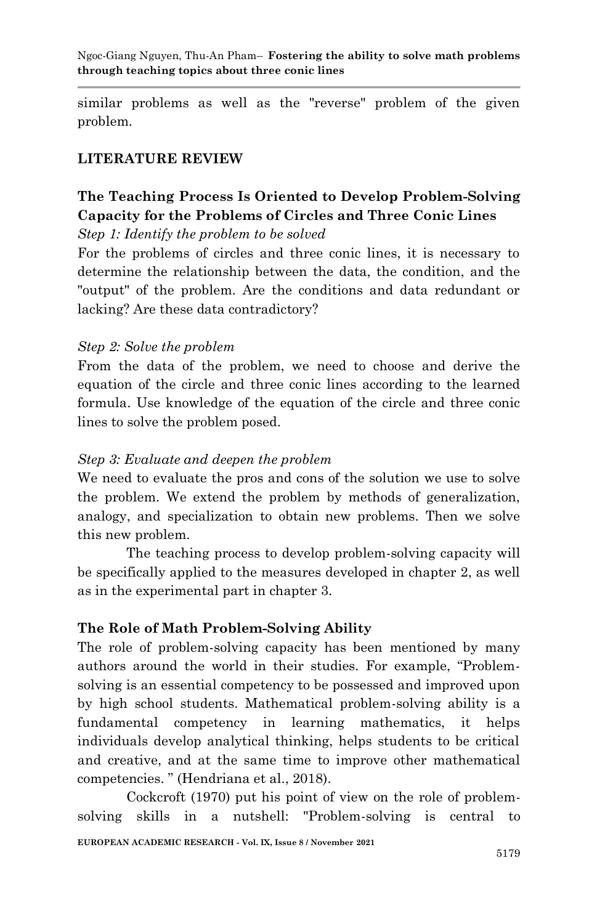similar problems as well as the "reverse" problem of the given problem.

### **LITERATURE REVIEW**

## **The Teaching Process Is Oriented to Develop Problem-Solving Capacity for the Problems of Circles and Three Conic Lines**

*Step 1: Identify the problem to be solved*

For the problems of circles and three conic lines, it is necessary to determine the relationship between the data, the condition, and the "output" of the problem. Are the conditions and data redundant or lacking? Are these data contradictory?

#### *Step 2: Solve the problem*

From the data of the problem, we need to choose and derive the equation of the circle and three conic lines according to the learned formula. Use knowledge of the equation of the circle and three conic lines to solve the problem posed.

#### *Step 3: Evaluate and deepen the problem*

We need to evaluate the pros and cons of the solution we use to solve the problem. We extend the problem by methods of generalization, analogy, and specialization to obtain new problems. Then we solve this new problem.

The teaching process to develop problem-solving capacity will be specifically applied to the measures developed in chapter 2, as well as in the experimental part in chapter 3.

#### **The Role of Math Problem-Solving Ability**

The role of problem-solving capacity has been mentioned by many authors around the world in their studies. For example, "Problemsolving is an essential competency to be possessed and improved upon by high school students. Mathematical problem-solving ability is a fundamental competency in learning mathematics, it helps individuals develop analytical thinking, helps students to be critical and creative, and at the same time to improve other mathematical competencies. " (Hendriana et al., 2018).

Cockcroft (1970) put his point of view on the role of problemsolving skills in a nutshell: "Problem-solving is central to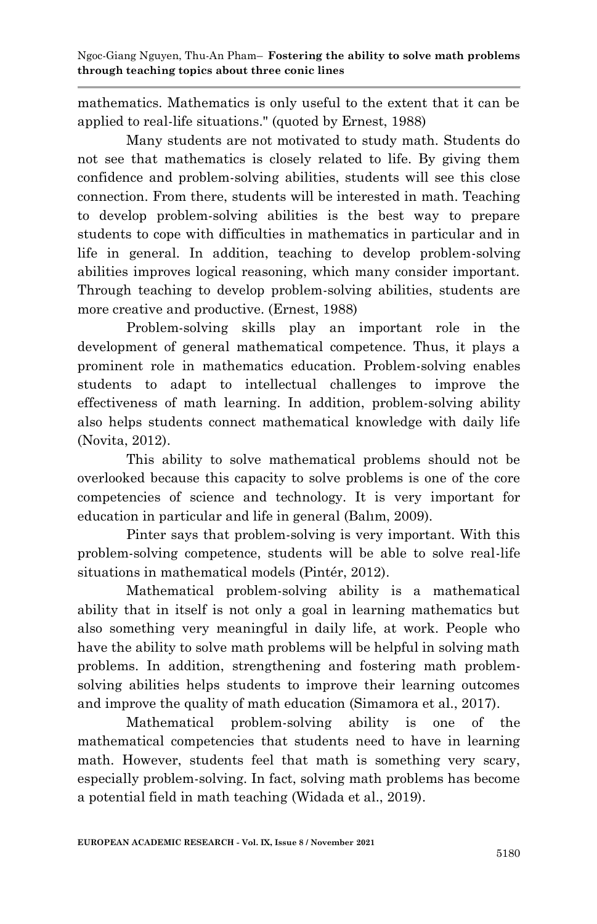mathematics. Mathematics is only useful to the extent that it can be applied to real-life situations." (quoted by Ernest, 1988)

Many students are not motivated to study math. Students do not see that mathematics is closely related to life. By giving them confidence and problem-solving abilities, students will see this close connection. From there, students will be interested in math. Teaching to develop problem-solving abilities is the best way to prepare students to cope with difficulties in mathematics in particular and in life in general. In addition, teaching to develop problem-solving abilities improves logical reasoning, which many consider important. Through teaching to develop problem-solving abilities, students are more creative and productive. (Ernest, 1988)

Problem-solving skills play an important role in the development of general mathematical competence. Thus, it plays a prominent role in mathematics education. Problem-solving enables students to adapt to intellectual challenges to improve the effectiveness of math learning. In addition, problem-solving ability also helps students connect mathematical knowledge with daily life (Novita, 2012).

This ability to solve mathematical problems should not be overlooked because this capacity to solve problems is one of the core competencies of science and technology. It is very important for education in particular and life in general (Balim, 2009).

Pinter says that problem-solving is very important. With this problem-solving competence, students will be able to solve real-life situations in mathematical models (Pintér, 2012).

Mathematical problem-solving ability is a mathematical ability that in itself is not only a goal in learning mathematics but also something very meaningful in daily life, at work. People who have the ability to solve math problems will be helpful in solving math problems. In addition, strengthening and fostering math problemsolving abilities helps students to improve their learning outcomes and improve the quality of math education (Simamora et al., 2017).

Mathematical problem-solving ability is one of the mathematical competencies that students need to have in learning math. However, students feel that math is something very scary, especially problem-solving. In fact, solving math problems has become a potential field in math teaching (Widada et al., 2019).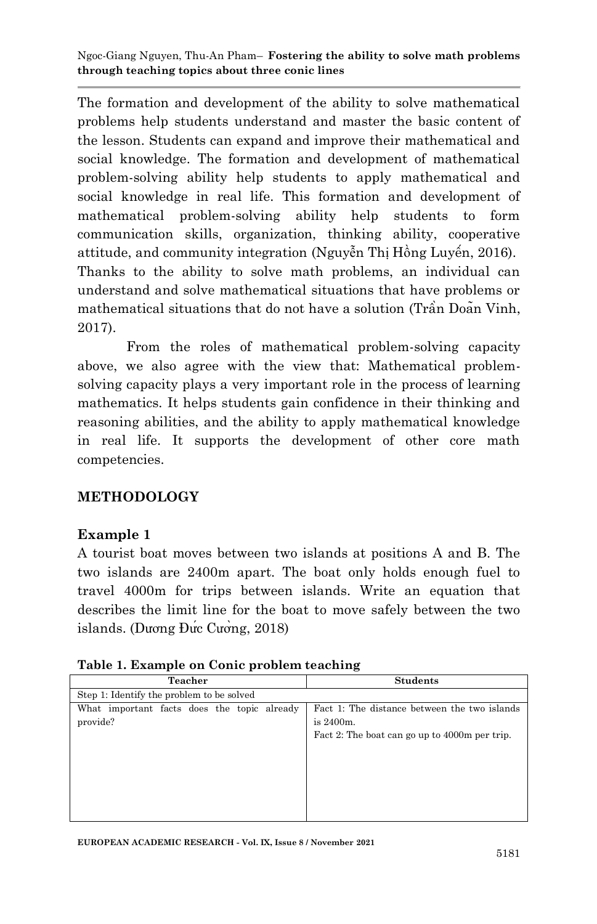The formation and development of the ability to solve mathematical problems help students understand and master the basic content of the lesson. Students can expand and improve their mathematical and social knowledge. The formation and development of mathematical problem-solving ability help students to apply mathematical and social knowledge in real life. This formation and development of mathematical problem-solving ability help students to form communication skills, organization, thinking ability, cooperative attitude, and community integration (Nguyễn Thị Hồng Luyến, 2016). Thanks to the ability to solve math problems, an individual can understand and solve mathematical situations that have problems or mathematical situations that do not have a solution (Trần Doan Vinh, 2017).

From the roles of mathematical problem-solving capacity above, we also agree with the view that: Mathematical problemsolving capacity plays a very important role in the process of learning mathematics. It helps students gain confidence in their thinking and reasoning abilities, and the ability to apply mathematical knowledge in real life. It supports the development of other core math competencies.

## **METHODOLOGY**

## **Example 1**

A tourist boat moves between two islands at positions A and B. The two islands are 2400m apart. The boat only holds enough fuel to travel 4000m for trips between islands. Write an equation that describes the limit line for the boat to move safely between the two islands. (Dương Đưc Cương, 2018)

| Table 1. Example on Conic problem teaching |  |  |
|--------------------------------------------|--|--|
|--------------------------------------------|--|--|

| Teacher                                     | <b>Students</b>                               |
|---------------------------------------------|-----------------------------------------------|
| Step 1: Identify the problem to be solved   |                                               |
| What important facts does the topic already | Fact 1: The distance between the two islands  |
| provide?                                    | is 2400m.                                     |
|                                             | Fact 2: The boat can go up to 4000m per trip. |
|                                             |                                               |
|                                             |                                               |
|                                             |                                               |
|                                             |                                               |
|                                             |                                               |
|                                             |                                               |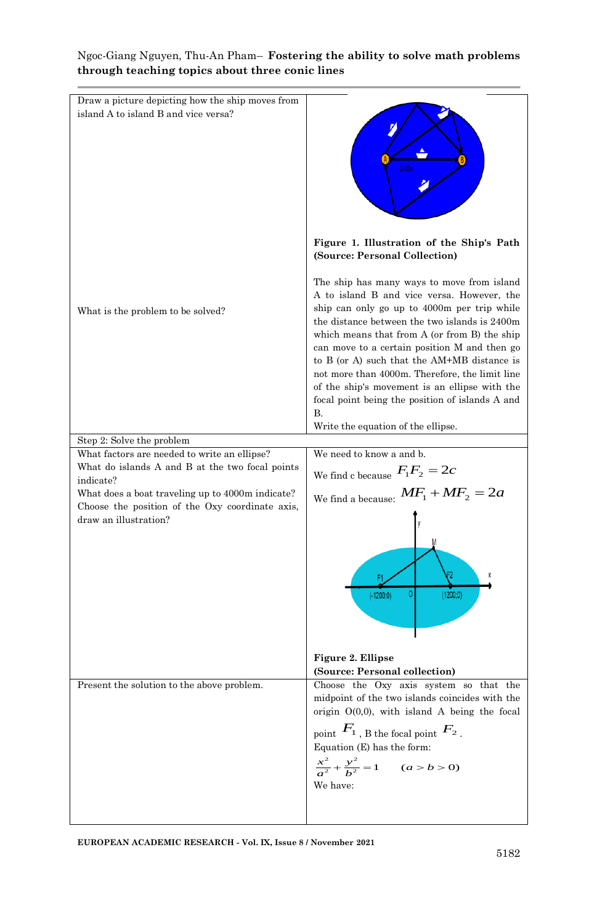| Draw a picture depicting how the ship moves from<br>island A to island B and vice versa?                                     | 2400m                                                                                                                                                                                                                                                                                                                                                                                                                                                                                                                                     |
|------------------------------------------------------------------------------------------------------------------------------|-------------------------------------------------------------------------------------------------------------------------------------------------------------------------------------------------------------------------------------------------------------------------------------------------------------------------------------------------------------------------------------------------------------------------------------------------------------------------------------------------------------------------------------------|
|                                                                                                                              | Figure 1. Illustration of the Ship's Path<br>(Source: Personal Collection)                                                                                                                                                                                                                                                                                                                                                                                                                                                                |
| What is the problem to be solved?                                                                                            | The ship has many ways to move from island<br>A to island B and vice versa. However, the<br>ship can only go up to 4000m per trip while<br>the distance between the two islands is 2400m<br>which means that from A (or from B) the ship<br>can move to a certain position M and then go<br>to B (or A) such that the AM+MB distance is<br>not more than 4000m. Therefore, the limit line<br>of the ship's movement is an ellipse with the<br>focal point being the position of islands A and<br>В.<br>Write the equation of the ellipse. |
| Step 2: Solve the problem                                                                                                    |                                                                                                                                                                                                                                                                                                                                                                                                                                                                                                                                           |
| What factors are needed to write an ellipse?                                                                                 | We need to know a and b.                                                                                                                                                                                                                                                                                                                                                                                                                                                                                                                  |
| What do islands A and B at the two focal points                                                                              | We find c because $F_1F_2 = 2c$                                                                                                                                                                                                                                                                                                                                                                                                                                                                                                           |
| indicate?                                                                                                                    |                                                                                                                                                                                                                                                                                                                                                                                                                                                                                                                                           |
| What does a boat traveling up to 4000m indicate?<br>Choose the position of the Oxy coordinate axis,<br>draw an illustration? | We find a because: $MF_1 + MF_2 = 2a$<br>0<br>(1200;0)<br>$(-1200, 0)$<br>Figure 2. Ellipse                                                                                                                                                                                                                                                                                                                                                                                                                                               |
|                                                                                                                              | (Source: Personal collection)                                                                                                                                                                                                                                                                                                                                                                                                                                                                                                             |
| Present the solution to the above problem.                                                                                   | Choose the Oxy axis system so that the                                                                                                                                                                                                                                                                                                                                                                                                                                                                                                    |
|                                                                                                                              | midpoint of the two islands coincides with the                                                                                                                                                                                                                                                                                                                                                                                                                                                                                            |
|                                                                                                                              | origin $O(0,0)$ , with island A being the focal<br>point $F_1$ , B the focal point $F_2$ .<br>Equation (E) has the form:<br>$rac{x^2}{a^2} + \frac{y^2}{b^2} = 1$ (a > b > 0)<br>We have:                                                                                                                                                                                                                                                                                                                                                 |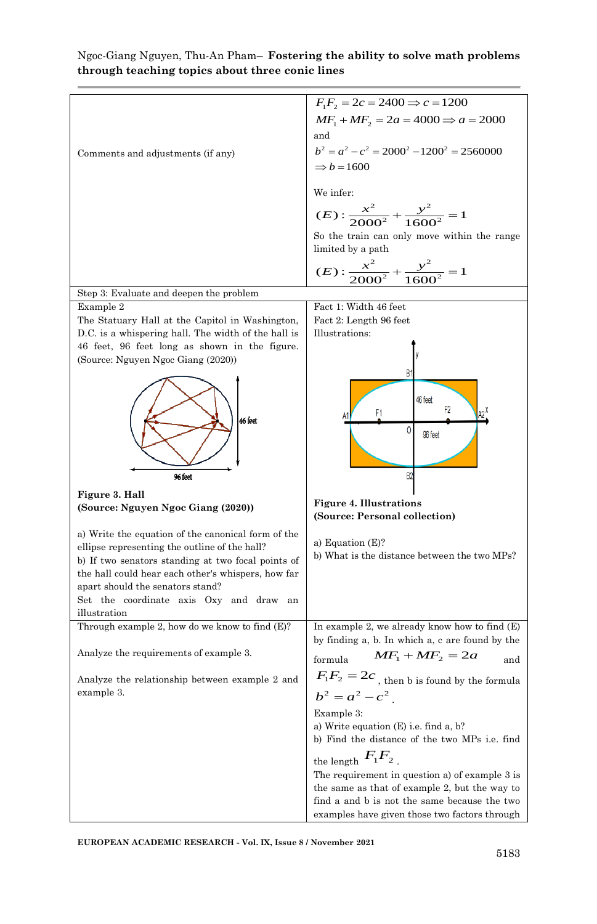| Comments and adjustments (if any)                                                                                                                                                                                                                                                                              | $F_1F_2 = 2c = 2400 \implies c = 1200$<br>$MF_1 + MF_2 = 2a = 4000 \Rightarrow a = 2000$<br>and<br>$b^2 = a^2 - c^2 = 2000^2 - 1200^2 = 2560000$<br>$\Rightarrow b = 1600$<br>We infer:<br>$(E): \frac{x^2}{2000^2} + \frac{y^2}{1600^2} = 1$<br>So the train can only move within the range<br>limited by a path |
|----------------------------------------------------------------------------------------------------------------------------------------------------------------------------------------------------------------------------------------------------------------------------------------------------------------|-------------------------------------------------------------------------------------------------------------------------------------------------------------------------------------------------------------------------------------------------------------------------------------------------------------------|
|                                                                                                                                                                                                                                                                                                                | $(E): \frac{x^2}{2000^2} + \frac{y^2}{1600^2} = 1$                                                                                                                                                                                                                                                                |
|                                                                                                                                                                                                                                                                                                                |                                                                                                                                                                                                                                                                                                                   |
| Step 3: Evaluate and deepen the problem                                                                                                                                                                                                                                                                        |                                                                                                                                                                                                                                                                                                                   |
| Example 2<br>The Statuary Hall at the Capitol in Washington,<br>D.C. is a whispering hall. The width of the hall is<br>46 feet, 96 feet long as shown in the figure.<br>(Source: Nguyen Ngoc Giang (2020))                                                                                                     | Fact 1: Width 46 feet<br>Fact 2: Length 96 feet<br>Illustrations:                                                                                                                                                                                                                                                 |
| 46 feet<br>96 feet                                                                                                                                                                                                                                                                                             | 46 feet<br>F <sub>2</sub><br>F1<br>0<br>96 feet<br>B <sub>2</sub>                                                                                                                                                                                                                                                 |
| Figure 3. Hall<br>(Source: Nguyen Ngoc Giang (2020))                                                                                                                                                                                                                                                           | <b>Figure 4. Illustrations</b><br>(Source: Personal collection)                                                                                                                                                                                                                                                   |
| a) Write the equation of the canonical form of the<br>ellipse representing the outline of the hall?<br>b) If two senators standing at two focal points of<br>the hall could hear each other's whispers, how far<br>apart should the senators stand?<br>Set the coordinate axis Oxy and draw an<br>illustration | a) Equation $(E)?$<br>b) What is the distance between the two MPs?                                                                                                                                                                                                                                                |
| Through example 2, how do we know to find $(E)$ ?                                                                                                                                                                                                                                                              | In example 2, we already know how to find (E)<br>by finding a, b. In which a, c are found by the                                                                                                                                                                                                                  |
| Analyze the requirements of example 3.                                                                                                                                                                                                                                                                         | $MF_1 + MF_2 = 2a$<br>formula<br>and<br>$F_1F_2=2c$ , then b is found by the formula                                                                                                                                                                                                                              |
| Analyze the relationship between example 2 and<br>example 3.                                                                                                                                                                                                                                                   | $b^2 = a^2 - c^2$<br>Example 3:                                                                                                                                                                                                                                                                                   |
|                                                                                                                                                                                                                                                                                                                | a) Write equation $(E)$ i.e. find a, b?<br>b) Find the distance of the two MPs i.e. find<br>the length $F_1F_2$ .                                                                                                                                                                                                 |
|                                                                                                                                                                                                                                                                                                                | The requirement in question a) of example 3 is                                                                                                                                                                                                                                                                    |
|                                                                                                                                                                                                                                                                                                                | the same as that of example 2, but the way to                                                                                                                                                                                                                                                                     |
|                                                                                                                                                                                                                                                                                                                | find a and b is not the same because the two                                                                                                                                                                                                                                                                      |
|                                                                                                                                                                                                                                                                                                                | examples have given those two factors through                                                                                                                                                                                                                                                                     |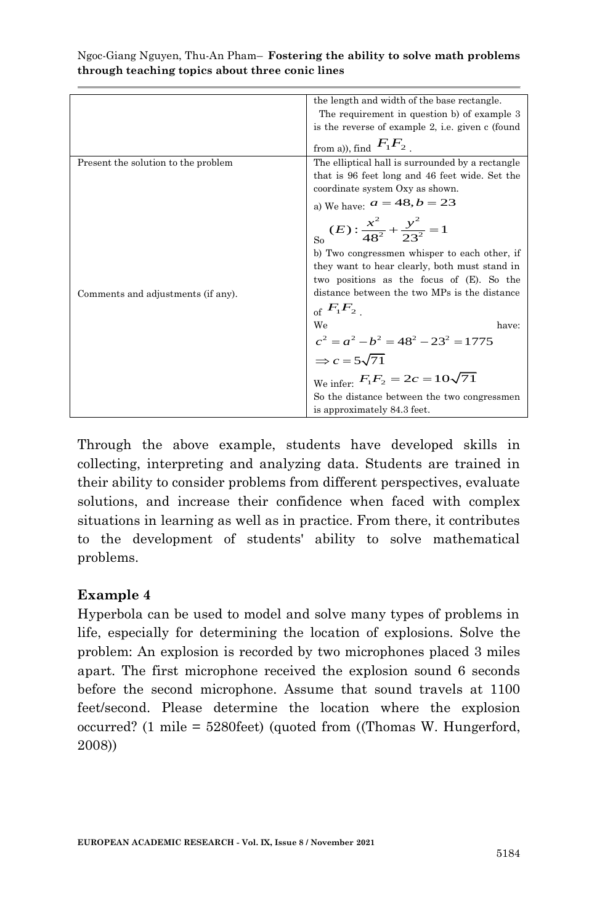| Ngoc-Giang Nguyen, Thu-An Pham– <b>Fostering the ability to solve math problems</b> |  |  |  |
|-------------------------------------------------------------------------------------|--|--|--|
| through teaching topics about three conic lines                                     |  |  |  |

| the length and width of the base rectangle.<br>The requirement in question b) of example 3<br>is the reverse of example 2, i.e. given c (found<br>from a)), find $F_1F_2$ .<br>The elliptical hall is surrounded by a rectangle<br>Present the solution to the problem<br>that is 96 feet long and 46 feet wide. Set the |
|--------------------------------------------------------------------------------------------------------------------------------------------------------------------------------------------------------------------------------------------------------------------------------------------------------------------------|
|                                                                                                                                                                                                                                                                                                                          |
|                                                                                                                                                                                                                                                                                                                          |
|                                                                                                                                                                                                                                                                                                                          |
|                                                                                                                                                                                                                                                                                                                          |
|                                                                                                                                                                                                                                                                                                                          |
|                                                                                                                                                                                                                                                                                                                          |
| coordinate system Oxy as shown.                                                                                                                                                                                                                                                                                          |
| a) We have: $a = 48, b = 23$                                                                                                                                                                                                                                                                                             |
| $(E): \frac{x^2}{48^2} + \frac{y^2}{23^2} = 1$                                                                                                                                                                                                                                                                           |
| b) Two congressmen whisper to each other, if                                                                                                                                                                                                                                                                             |
| they want to hear clearly, both must stand in                                                                                                                                                                                                                                                                            |
| two positions as the focus of (E). So the                                                                                                                                                                                                                                                                                |
| distance between the two MPs is the distance<br>Comments and adjustments (if any).                                                                                                                                                                                                                                       |
| of $F_1F_2$ .                                                                                                                                                                                                                                                                                                            |
| have:                                                                                                                                                                                                                                                                                                                    |
|                                                                                                                                                                                                                                                                                                                          |
| we<br>$c^2 = a^2 - b^2 = 48^2 - 23^2 = 1775$<br>$\Rightarrow c = 5\sqrt{71}$<br>We infer: $F_1 F_2 = 2c = 10\sqrt{71}$                                                                                                                                                                                                   |
|                                                                                                                                                                                                                                                                                                                          |
| So the distance between the two congressmen                                                                                                                                                                                                                                                                              |
| is approximately 84.3 feet.                                                                                                                                                                                                                                                                                              |

Through the above example, students have developed skills in collecting, interpreting and analyzing data. Students are trained in their ability to consider problems from different perspectives, evaluate solutions, and increase their confidence when faced with complex situations in learning as well as in practice. From there, it contributes to the development of students' ability to solve mathematical problems.

#### **Example 4**

Hyperbola can be used to model and solve many types of problems in life, especially for determining the location of explosions. Solve the problem: An explosion is recorded by two microphones placed 3 miles apart. The first microphone received the explosion sound 6 seconds before the second microphone. Assume that sound travels at 1100 feet/second. Please determine the location where the explosion occurred? (1 mile = 5280feet) (quoted from ((Thomas W. Hungerford, 2008))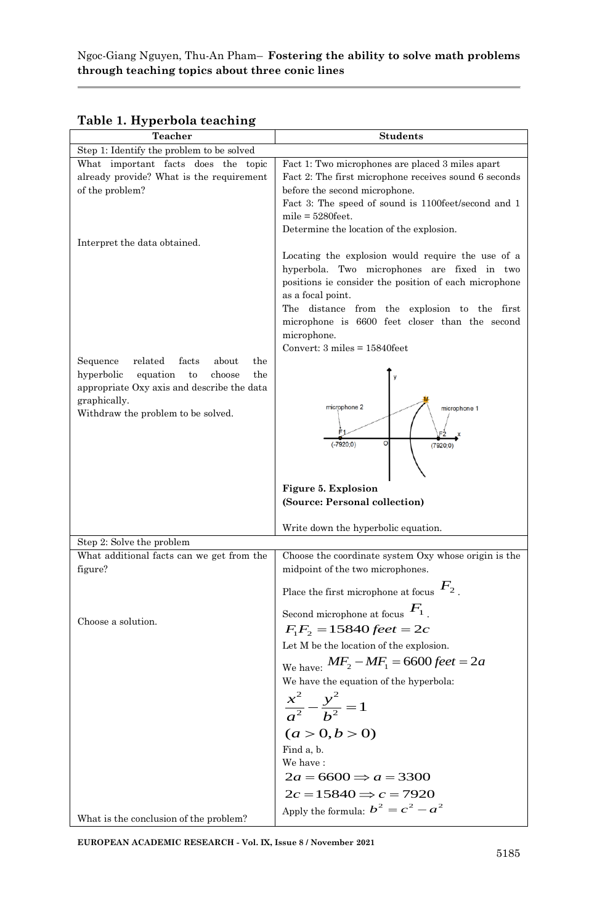| <b>Teacher</b>                                                                                                                                    | <b>Students</b>                                                                                                                                                                                                                                                                  |
|---------------------------------------------------------------------------------------------------------------------------------------------------|----------------------------------------------------------------------------------------------------------------------------------------------------------------------------------------------------------------------------------------------------------------------------------|
| Step 1: Identify the problem to be solved                                                                                                         |                                                                                                                                                                                                                                                                                  |
| What important facts does the topic<br>already provide? What is the requirement                                                                   | Fact 1: Two microphones are placed 3 miles apart<br>Fact 2: The first microphone receives sound 6 seconds                                                                                                                                                                        |
| of the problem?                                                                                                                                   | before the second microphone.                                                                                                                                                                                                                                                    |
|                                                                                                                                                   | Fact 3: The speed of sound is 1100feet/second and 1                                                                                                                                                                                                                              |
|                                                                                                                                                   | $mile = 5280 \text{feet}.$                                                                                                                                                                                                                                                       |
| Interpret the data obtained.                                                                                                                      | Determine the location of the explosion.                                                                                                                                                                                                                                         |
|                                                                                                                                                   | Locating the explosion would require the use of a<br>hyperbola. Two microphones are fixed in two<br>positions ie consider the position of each microphone<br>as a focal point.<br>The distance from the explosion to the first<br>microphone is 6600 feet closer than the second |
|                                                                                                                                                   | microphone.<br>Convert: $3 \text{ miles} = 15840 \text{feet}$                                                                                                                                                                                                                    |
| Sequence<br>related<br>facts<br>about<br>the                                                                                                      |                                                                                                                                                                                                                                                                                  |
| hyperbolic<br>equation<br>to<br>choose<br>the<br>appropriate Oxy axis and describe the data<br>graphically.<br>Withdraw the problem to be solved. | microphone 2<br>microphone 1                                                                                                                                                                                                                                                     |
|                                                                                                                                                   | $(-7920;0)$<br>(7920;0)                                                                                                                                                                                                                                                          |
|                                                                                                                                                   | Figure 5. Explosion                                                                                                                                                                                                                                                              |
|                                                                                                                                                   | (Source: Personal collection)                                                                                                                                                                                                                                                    |
|                                                                                                                                                   | Write down the hyperbolic equation.                                                                                                                                                                                                                                              |
| Step 2: Solve the problem                                                                                                                         |                                                                                                                                                                                                                                                                                  |
| What additional facts can we get from the<br>figure?                                                                                              | Choose the coordinate system Oxy whose origin is the<br>midpoint of the two microphones.                                                                                                                                                                                         |
|                                                                                                                                                   | Place the first microphone at focus $F_2$ .                                                                                                                                                                                                                                      |
| Choose a solution.                                                                                                                                | Second microphone at focus $F_1$ .                                                                                                                                                                                                                                               |
|                                                                                                                                                   | $F_1F_2 = 15840 \text{ feet} = 2c$                                                                                                                                                                                                                                               |
|                                                                                                                                                   | Let M be the location of the explosion.                                                                                                                                                                                                                                          |
|                                                                                                                                                   | We have: $MF_2 - MF_1 = 6600 feet = 2a$                                                                                                                                                                                                                                          |
|                                                                                                                                                   | We have the equation of the hyperbola:                                                                                                                                                                                                                                           |
|                                                                                                                                                   | $\frac{x^2}{a^2} - \frac{y^2}{b^2} = 1$                                                                                                                                                                                                                                          |
|                                                                                                                                                   | (a > 0, b > 0)                                                                                                                                                                                                                                                                   |
|                                                                                                                                                   | Find a, b.<br>We have:                                                                                                                                                                                                                                                           |
|                                                                                                                                                   | $2a = 6600 \Rightarrow a = 3300$                                                                                                                                                                                                                                                 |
|                                                                                                                                                   | $2c = 15840 \Rightarrow c = 7920$                                                                                                                                                                                                                                                |
|                                                                                                                                                   | Apply the formula: $b^2 = c^2 - a^2$                                                                                                                                                                                                                                             |
| What is the conclusion of the problem?                                                                                                            |                                                                                                                                                                                                                                                                                  |

#### **Table 1. Hyperbola teaching**

**EUROPEAN ACADEMIC RESEARCH - Vol. IX, Issue 8 / November 2021**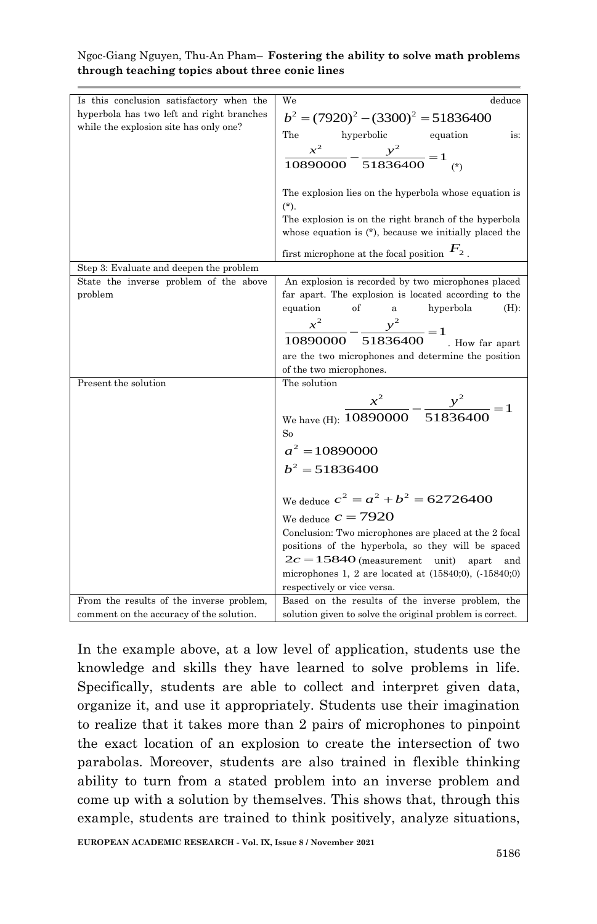| Is this conclusion satisfactory when the<br>hyperbola has two left and right branches | We<br>deduce                                                   |
|---------------------------------------------------------------------------------------|----------------------------------------------------------------|
| while the explosion site has only one?                                                | $b^2 = (7920)^2 - (3300)^2 = 51836400$                         |
|                                                                                       | The<br>hyperbolic equation<br>is:                              |
|                                                                                       | $\frac{x^2}{10890000} - \frac{y^2}{51836400} = 1$              |
|                                                                                       |                                                                |
|                                                                                       | The explosion lies on the hyperbola whose equation is          |
|                                                                                       | $(*).$                                                         |
|                                                                                       | The explosion is on the right branch of the hyperbola          |
|                                                                                       | whose equation is $(*)$ , because we initially placed the      |
|                                                                                       | first microphone at the focal position $F_2$ .                 |
| Step 3: Evaluate and deepen the problem                                               |                                                                |
| State the inverse problem of the above                                                | An explosion is recorded by two microphones placed             |
| problem                                                                               | far apart. The explosion is located according to the           |
|                                                                                       | equation<br>of<br>hyperbola<br>$(H)$ :<br>$\rm{a}$             |
|                                                                                       | $\frac{x^2}{10890000} - \frac{y^2}{51836400} = 1$              |
|                                                                                       | . How far apart                                                |
|                                                                                       | are the two microphones and determine the position             |
|                                                                                       | of the two microphones.                                        |
| Present the solution                                                                  | The solution                                                   |
|                                                                                       |                                                                |
|                                                                                       | We have (H): $\frac{x^2}{10890000} - \frac{y^2}{51836400} = 1$ |
|                                                                                       | So                                                             |
|                                                                                       | $a^2 = 10890000$                                               |
|                                                                                       | $b^2 = 51836400$                                               |
|                                                                                       | We deduce $c^2 = a^2 + b^2 = 62726400$                         |
|                                                                                       | We deduce $c = 7920$                                           |
|                                                                                       | Conclusion: Two microphones are placed at the 2 focal          |
|                                                                                       | positions of the hyperbola, so they will be spaced             |
|                                                                                       | $2c = 15840$ (measurement<br>unit)<br>apart<br>and             |
|                                                                                       | microphones 1, 2 are located at $(15840,0)$ , $(-15840,0)$     |
|                                                                                       | respectively or vice versa.                                    |
| From the results of the inverse problem,                                              | Based on the results of the inverse problem, the               |
| comment on the accuracy of the solution.                                              | solution given to solve the original problem is correct.       |

In the example above, at a low level of application, students use the knowledge and skills they have learned to solve problems in life. Specifically, students are able to collect and interpret given data, organize it, and use it appropriately. Students use their imagination to realize that it takes more than 2 pairs of microphones to pinpoint the exact location of an explosion to create the intersection of two parabolas. Moreover, students are also trained in flexible thinking ability to turn from a stated problem into an inverse problem and come up with a solution by themselves. This shows that, through this example, students are trained to think positively, analyze situations,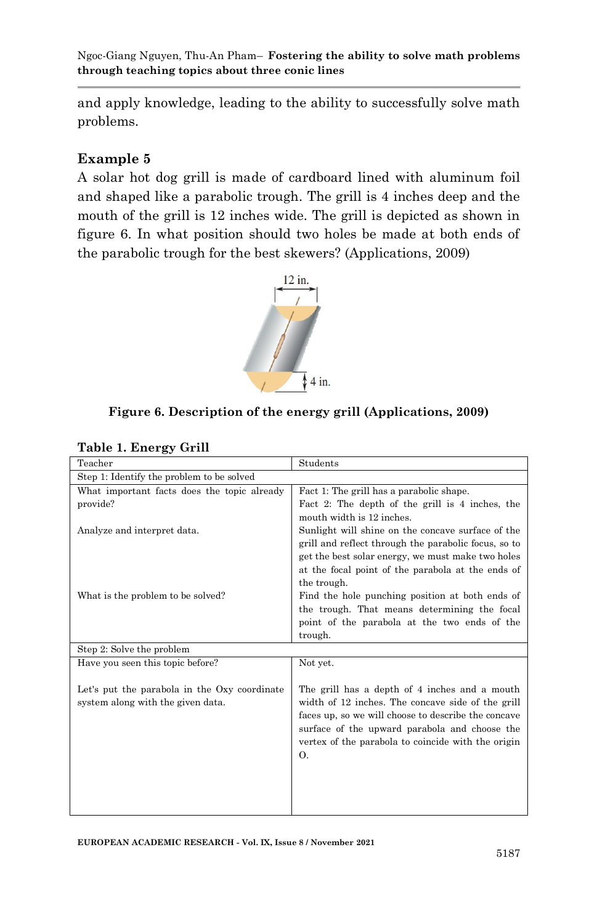and apply knowledge, leading to the ability to successfully solve math problems.

#### **Example 5**

A solar hot dog grill is made of cardboard lined with aluminum foil and shaped like a parabolic trough. The grill is 4 inches deep and the mouth of the grill is 12 inches wide. The grill is depicted as shown in figure 6. In what position should two holes be made at both ends of the parabolic trough for the best skewers? (Applications, 2009)



#### **Figure 6. Description of the energy grill (Applications, 2009)**

| Teacher                                      | Students                                                                                             |
|----------------------------------------------|------------------------------------------------------------------------------------------------------|
| Step 1: Identify the problem to be solved    |                                                                                                      |
| What important facts does the topic already  | Fact 1: The grill has a parabolic shape.                                                             |
| provide?                                     | Fact 2: The depth of the grill is 4 inches, the                                                      |
|                                              | mouth width is 12 inches.                                                                            |
| Analyze and interpret data.                  | Sunlight will shine on the concave surface of the                                                    |
|                                              | grill and reflect through the parabolic focus, so to                                                 |
|                                              | get the best solar energy, we must make two holes                                                    |
|                                              | at the focal point of the parabola at the ends of                                                    |
|                                              | the trough.                                                                                          |
| What is the problem to be solved?            | Find the hole punching position at both ends of                                                      |
|                                              | the trough. That means determining the focal                                                         |
|                                              | point of the parabola at the two ends of the                                                         |
|                                              | trough.                                                                                              |
| Step 2: Solve the problem                    |                                                                                                      |
| Have you seen this topic before?             | Not yet.                                                                                             |
|                                              |                                                                                                      |
| Let's put the parabola in the Oxy coordinate | The grill has a depth of 4 inches and a mouth                                                        |
| system along with the given data.            | width of 12 inches. The concave side of the grill                                                    |
|                                              | faces up, so we will choose to describe the concave<br>surface of the upward parabola and choose the |
|                                              | vertex of the parabola to coincide with the origin                                                   |
|                                              | Ο.                                                                                                   |
|                                              |                                                                                                      |
|                                              |                                                                                                      |
|                                              |                                                                                                      |
|                                              |                                                                                                      |
|                                              |                                                                                                      |

**Table 1. Energy Grill**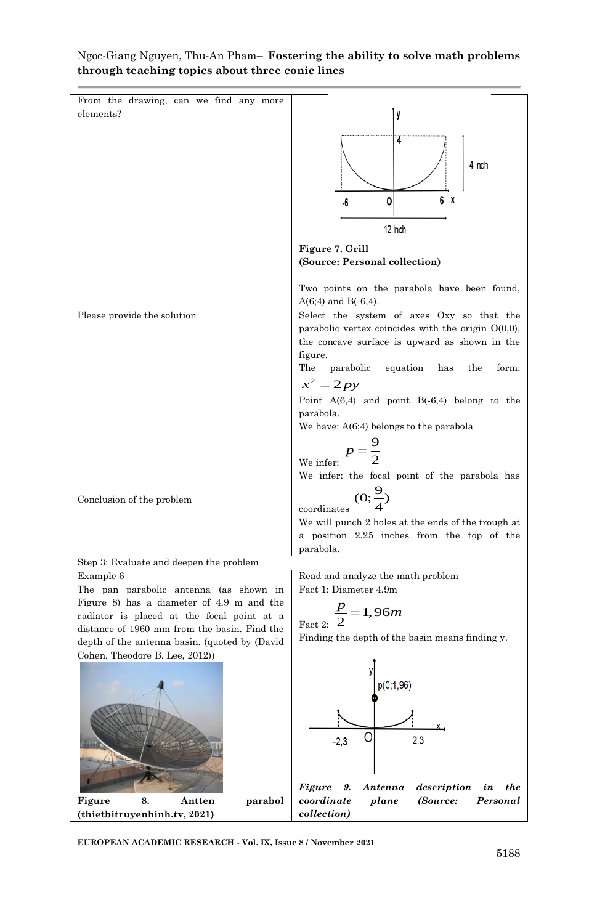

**EUROPEAN ACADEMIC RESEARCH - Vol. IX, Issue 8 / November 2021**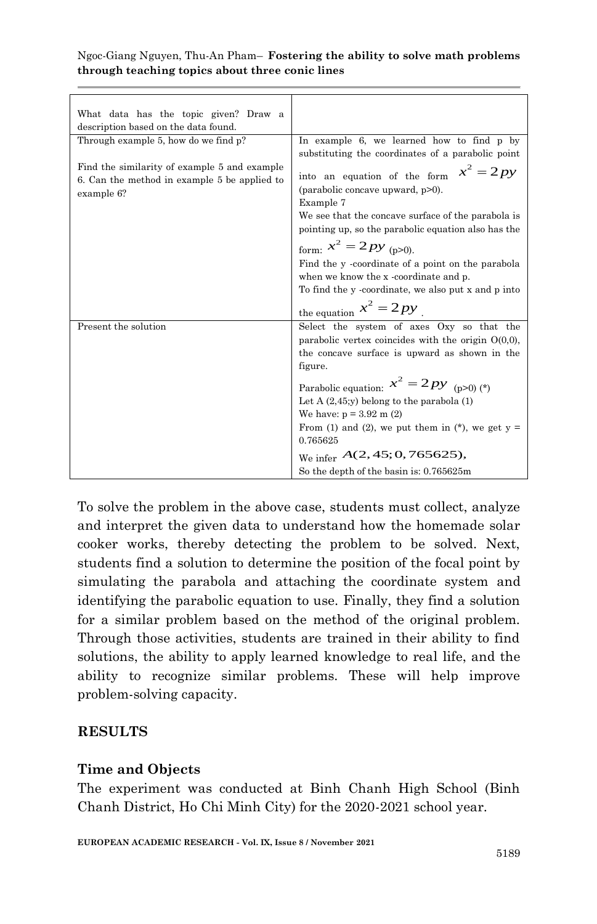| What data has the topic given? Draw a<br>description based on the data found.                              |                                                                                                                                                                                                                                                                                                                                                                                                                                             |
|------------------------------------------------------------------------------------------------------------|---------------------------------------------------------------------------------------------------------------------------------------------------------------------------------------------------------------------------------------------------------------------------------------------------------------------------------------------------------------------------------------------------------------------------------------------|
| Through example 5, how do we find p?                                                                       | In example 6, we learned how to find p by<br>substituting the coordinates of a parabolic point                                                                                                                                                                                                                                                                                                                                              |
| Find the similarity of example 5 and example<br>6. Can the method in example 5 be applied to<br>example 6? | $x^2 = 2py$<br>into an equation of the form<br>(parabolic concave upward, p>0).<br>Example 7<br>We see that the concave surface of the parabola is<br>pointing up, so the parabolic equation also has the<br>form: $x^2 = 2py_{(p>0)}$ .<br>Find the y-coordinate of a point on the parabola<br>when we know the x -coordinate and p.<br>To find the y-coordinate, we also put x and p into<br>the equation $x^2 = 2py$                     |
| Present the solution                                                                                       | Select the system of axes Oxy so that the<br>parabolic vertex coincides with the origin $O(0,0)$ ,<br>the concave surface is upward as shown in the<br>figure.<br>Parabolic equation: $x^2 = 2py$ (p>0) (*)<br>Let A $(2,45; y)$ belong to the parabola $(1)$<br>We have: $p = 3.92$ m (2)<br>From (1) and (2), we put them in (*), we get $y =$<br>0.765625<br>We infer $A(2, 45; 0, 765625)$ ,<br>So the depth of the basin is: 0.765625m |

To solve the problem in the above case, students must collect, analyze and interpret the given data to understand how the homemade solar cooker works, thereby detecting the problem to be solved. Next, students find a solution to determine the position of the focal point by simulating the parabola and attaching the coordinate system and identifying the parabolic equation to use. Finally, they find a solution for a similar problem based on the method of the original problem. Through those activities, students are trained in their ability to find solutions, the ability to apply learned knowledge to real life, and the ability to recognize similar problems. These will help improve problem-solving capacity.

#### **RESULTS**

#### **Time and Objects**

The experiment was conducted at Binh Chanh High School (Binh Chanh District, Ho Chi Minh City) for the 2020-2021 school year.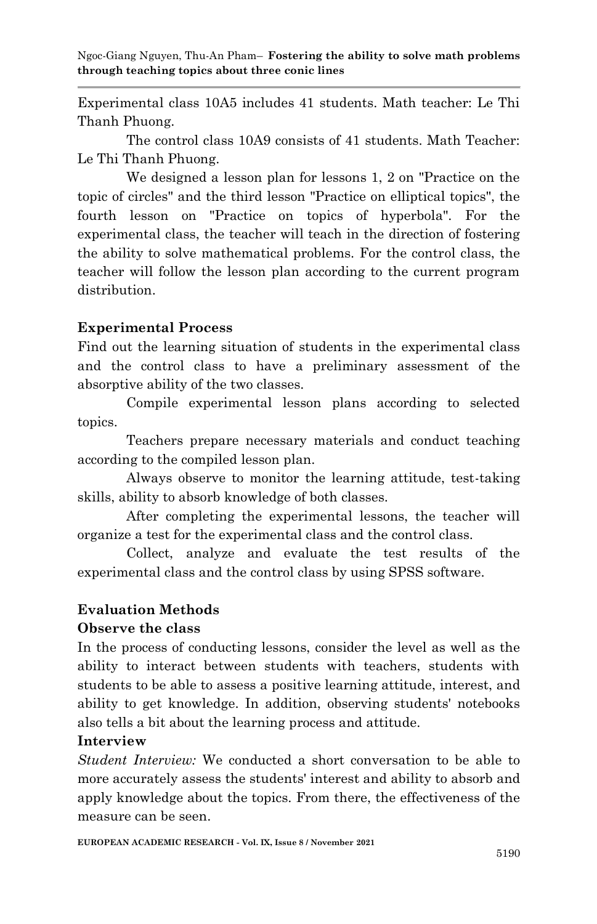Experimental class 10A5 includes 41 students. Math teacher: Le Thi Thanh Phuong.

The control class 10A9 consists of 41 students. Math Teacher: Le Thi Thanh Phuong.

We designed a lesson plan for lessons 1, 2 on "Practice on the topic of circles" and the third lesson "Practice on elliptical topics", the fourth lesson on "Practice on topics of hyperbola". For the experimental class, the teacher will teach in the direction of fostering the ability to solve mathematical problems. For the control class, the teacher will follow the lesson plan according to the current program distribution.

#### **Experimental Process**

Find out the learning situation of students in the experimental class and the control class to have a preliminary assessment of the absorptive ability of the two classes.

Compile experimental lesson plans according to selected topics.

Teachers prepare necessary materials and conduct teaching according to the compiled lesson plan.

Always observe to monitor the learning attitude, test-taking skills, ability to absorb knowledge of both classes.

After completing the experimental lessons, the teacher will organize a test for the experimental class and the control class.

Collect, analyze and evaluate the test results of the experimental class and the control class by using SPSS software.

#### **Evaluation Methods**

#### **Observe the class**

In the process of conducting lessons, consider the level as well as the ability to interact between students with teachers, students with students to be able to assess a positive learning attitude, interest, and ability to get knowledge. In addition, observing students' notebooks also tells a bit about the learning process and attitude.

#### **Interview**

*Student Interview:* We conducted a short conversation to be able to more accurately assess the students' interest and ability to absorb and apply knowledge about the topics. From there, the effectiveness of the measure can be seen.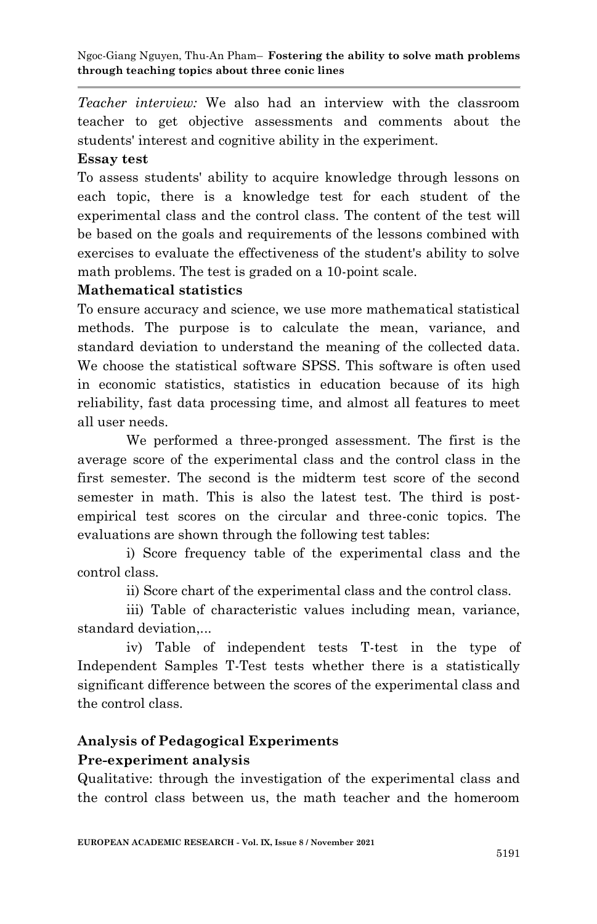*Teacher interview:* We also had an interview with the classroom teacher to get objective assessments and comments about the students' interest and cognitive ability in the experiment.

## **Essay test**

To assess students' ability to acquire knowledge through lessons on each topic, there is a knowledge test for each student of the experimental class and the control class. The content of the test will be based on the goals and requirements of the lessons combined with exercises to evaluate the effectiveness of the student's ability to solve math problems. The test is graded on a 10-point scale.

## **Mathematical statistics**

To ensure accuracy and science, we use more mathematical statistical methods. The purpose is to calculate the mean, variance, and standard deviation to understand the meaning of the collected data. We choose the statistical software SPSS. This software is often used in economic statistics, statistics in education because of its high reliability, fast data processing time, and almost all features to meet all user needs.

We performed a three-pronged assessment. The first is the average score of the experimental class and the control class in the first semester. The second is the midterm test score of the second semester in math. This is also the latest test. The third is postempirical test scores on the circular and three-conic topics. The evaluations are shown through the following test tables:

i) Score frequency table of the experimental class and the control class.

ii) Score chart of the experimental class and the control class.

iii) Table of characteristic values including mean, variance, standard deviation,...

iv) Table of independent tests T-test in the type of Independent Samples T-Test tests whether there is a statistically significant difference between the scores of the experimental class and the control class.

## **Analysis of Pedagogical Experiments Pre-experiment analysis**

Qualitative: through the investigation of the experimental class and the control class between us, the math teacher and the homeroom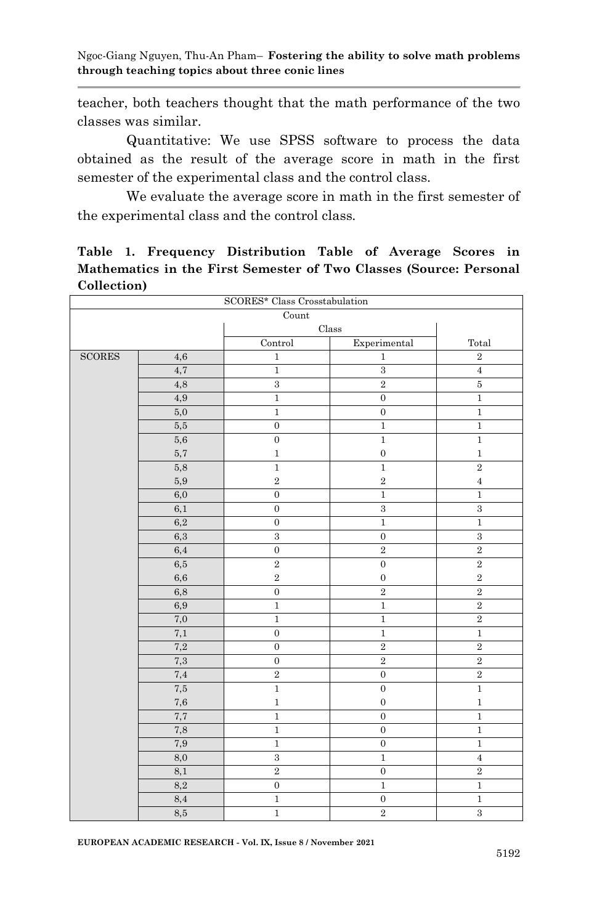teacher, both teachers thought that the math performance of the two classes was similar.

Quantitative: We use SPSS software to process the data obtained as the result of the average score in math in the first semester of the experimental class and the control class.

We evaluate the average score in math in the first semester of the experimental class and the control class.

#### **Table 1. Frequency Distribution Table of Average Scores in Mathematics in the First Semester of Two Classes (Source: Personal Collection)**

| SCORES* Class Crosstabulation |              |                  |                  |                |
|-------------------------------|--------------|------------------|------------------|----------------|
| Count                         |              |                  |                  |                |
|                               |              |                  | Class            |                |
|                               |              | Control          | Experimental     | Total          |
| $\operatorname{SCORES}$       | 4,6          | $\,1$            | $\,1\,$          | $\overline{2}$ |
|                               | 4,7          | $\mathbf{1}$     | $\,3$            | $\overline{4}$ |
|                               | 4,8          | $\,3$            | $\,2\,$          | $\bf 5$        |
|                               | 4,9          | $\,1$            | $\boldsymbol{0}$ | $\,1$          |
|                               | 5,0          | $\overline{1}$   | $\boldsymbol{0}$ | $\,1$          |
|                               | 5,5          | $\boldsymbol{0}$ | $\,1$            | $\,1\,$        |
|                               | 5,6          | $\boldsymbol{0}$ | $\,1\,$          | $\,1\,$        |
|                               | $5,7\,$      | $\,1$            | $\boldsymbol{0}$ | $\,1\,$        |
|                               | 5,8          | $\,1$            | $\,1$            | $\,2\,$        |
|                               | 5,9          | $\,2$            | $\,2$            | $\bf{4}$       |
|                               | 6,0          | $\mathbf 0$      | $\,1$            | $\,1$          |
|                               | 6,1          | $\boldsymbol{0}$ | $\,3$            | $\,3$          |
|                               | 6,2          | $\boldsymbol{0}$ | $\mathbf{1}$     | $\,1$          |
|                               | $6,3\,$      | $\,3$            | $\boldsymbol{0}$ | $\,3$          |
|                               | 6,4          | $\boldsymbol{0}$ | $\,2$            | $\,2\,$        |
|                               | 6,5          | $\overline{2}$   | $\boldsymbol{0}$ | $\overline{2}$ |
|                               | 6,6          | $\overline{2}$   | $\boldsymbol{0}$ | $\,2\,$        |
|                               | 6,8          | $\boldsymbol{0}$ | $\,2$            | $\,2\,$        |
|                               | 6,9          | $\,1$            | $\,1$            | $\,2\,$        |
|                               | $_{\rm 7,0}$ | $\,1$            | $\,1\,$          | $\,2\,$        |
|                               | $7,\!1$      | $\boldsymbol{0}$ | $\,1\,$          | $\,1\,$        |
|                               | 7,2          | $\boldsymbol{0}$ | $\,2$            | $\,2$          |
|                               | $7,\!3$      | $\mathbf 0$      | $\,2$            | $\,2$          |
|                               | 7,4          | $\,2\,$          | $\boldsymbol{0}$ | $\overline{2}$ |
|                               | $\rm 7.5$    | $\,1$            | $\boldsymbol{0}$ | $\,1\,$        |
|                               | 7,6          | $\overline{1}$   | $\mathbf 0$      | $\overline{1}$ |
|                               | 7,7          | $\mathbf{1}$     | $\boldsymbol{0}$ | $\,1$          |
|                               | $_{\rm 7,8}$ | $\,1$            | $\boldsymbol{0}$ | $\,1\,$        |
|                               | 7,9          | $\mathbf 1$      | $\boldsymbol{0}$ | $\,1$          |
|                               | 8,0          | $\,3$            | $1\,$            | $\sqrt{4}$     |
|                               | 8,1          | $\overline{2}$   | $\boldsymbol{0}$ | $\overline{2}$ |
|                               | $8,\!2$      | $\boldsymbol{0}$ | $\,1$            | $\,1\,$        |
|                               | $8,4$        | $\,1$            | $\boldsymbol{0}$ | $\mathbf 1$    |
|                               | $_{\rm 8,5}$ | $\,1$            | $\,2$            | $\,3$          |

**EUROPEAN ACADEMIC RESEARCH - Vol. IX, Issue 8 / November 2021**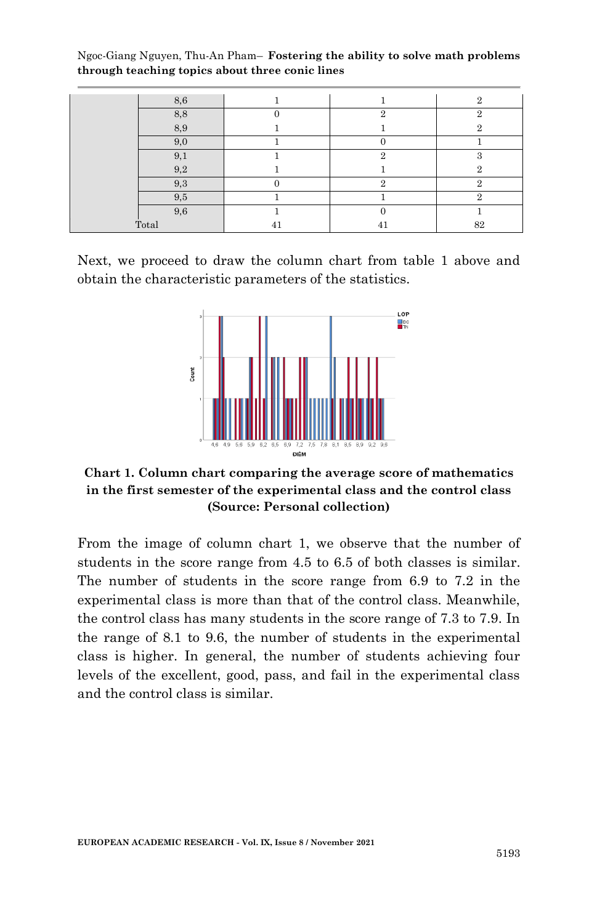| 8,6   |    |                | $\Omega$ |
|-------|----|----------------|----------|
| 8,8   |    | $\Omega$       | $\Omega$ |
| 8,9   |    |                | $\Omega$ |
| 9,0   |    |                |          |
| 9,1   |    | $\Omega$       | $\Omega$ |
| 9,2   |    |                | ິດ       |
| 9,3   |    |                |          |
| 9,5   |    |                | $\Omega$ |
| 9,6   |    |                |          |
| Total | 41 | 4 <sup>1</sup> | 82       |

Next, we proceed to draw the column chart from table 1 above and obtain the characteristic parameters of the statistics.



**Chart 1. Column chart comparing the average score of mathematics in the first semester of the experimental class and the control class (Source: Personal collection)**

From the image of column chart 1, we observe that the number of students in the score range from 4.5 to 6.5 of both classes is similar. The number of students in the score range from 6.9 to 7.2 in the experimental class is more than that of the control class. Meanwhile, the control class has many students in the score range of 7.3 to 7.9. In the range of 8.1 to 9.6, the number of students in the experimental class is higher. In general, the number of students achieving four levels of the excellent, good, pass, and fail in the experimental class and the control class is similar.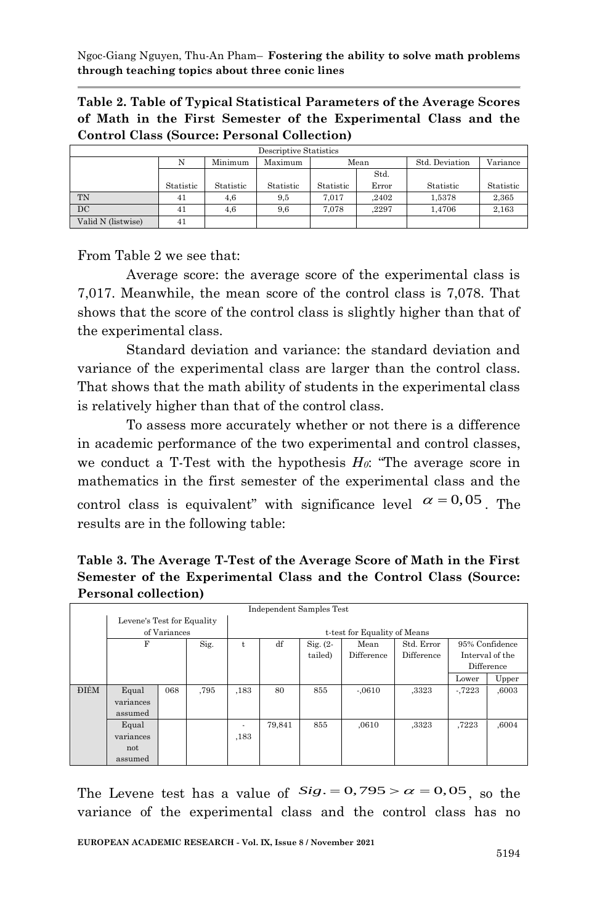**Table 2. Table of Typical Statistical Parameters of the Average Scores of Math in the First Semester of the Experimental Class and the Control Class (Source: Personal Collection)**

| Descriptive Statistics |           |           |           |           |       |                |           |  |  |
|------------------------|-----------|-----------|-----------|-----------|-------|----------------|-----------|--|--|
|                        | N         | Minimum   | Maximum   | Mean      |       | Std. Deviation | Variance  |  |  |
|                        |           |           |           | Std.      |       |                |           |  |  |
|                        | Statistic | Statistic | Statistic | Statistic | Error | Statistic      | Statistic |  |  |
| TN                     | 41        | 4,6       | 9,5       | 7.017     | .2402 | 1.5378         | 2.365     |  |  |
| DC                     | 41        | 4,6       | 9,6       | 7.078     | .2297 | 1.4706         | 2,163     |  |  |
| Valid N (listwise)     | 41        |           |           |           |       |                |           |  |  |

From Table 2 we see that:

Average score: the average score of the experimental class is 7,017. Meanwhile, the mean score of the control class is 7,078. That shows that the score of the control class is slightly higher than that of the experimental class.

Standard deviation and variance: the standard deviation and variance of the experimental class are larger than the control class. That shows that the math ability of students in the experimental class is relatively higher than that of the control class.

To assess more accurately whether or not there is a difference in academic performance of the two experimental and control classes, we conduct a T-Test with the hypothesis *H0*: "The average score in mathematics in the first semester of the experimental class and the control class is equivalent" with significance level  $\alpha = 0.05$ . The results are in the following table:

**Table 3. The Average T-Test of the Average Score of Math in the First Semester of the Experimental Class and the Control Class (Source: Personal collection)**

| Independent Samples Test   |           |     |                              |                          |             |         |            |            |                |                 |
|----------------------------|-----------|-----|------------------------------|--------------------------|-------------|---------|------------|------------|----------------|-----------------|
| Levene's Test for Equality |           |     |                              |                          |             |         |            |            |                |                 |
| of Variances               |           |     | t-test for Equality of Means |                          |             |         |            |            |                |                 |
|                            | F<br>Sig. |     | t                            | df                       | $Sig. (2 -$ | Mean    | Std. Error |            | 95% Confidence |                 |
|                            |           |     |                              |                          |             | tailed) | Difference | Difference |                | Interval of the |
|                            |           |     |                              |                          |             |         |            |            |                | Difference      |
|                            |           |     |                              |                          |             |         |            |            | Lower          | Upper           |
| ĐIÊM                       | Equal     | 068 | .795                         | ,183                     | 80          | 855     | $-.0610$   | ,3323      | $-7223$        | ,6003           |
|                            | variances |     |                              |                          |             |         |            |            |                |                 |
|                            | assumed   |     |                              |                          |             |         |            |            |                |                 |
|                            | Equal     |     |                              | $\overline{\phantom{a}}$ | 79.841      | 855     | .0610      | ,3323      | .7223          | ,6004           |
|                            | variances |     |                              | ,183                     |             |         |            |            |                |                 |
|                            | not       |     |                              |                          |             |         |            |            |                |                 |
|                            | assumed   |     |                              |                          |             |         |            |            |                |                 |

The Levene test has a value of  $Sig. = 0,795 > \alpha = 0,05$ , so the variance of the experimental class and the control class has no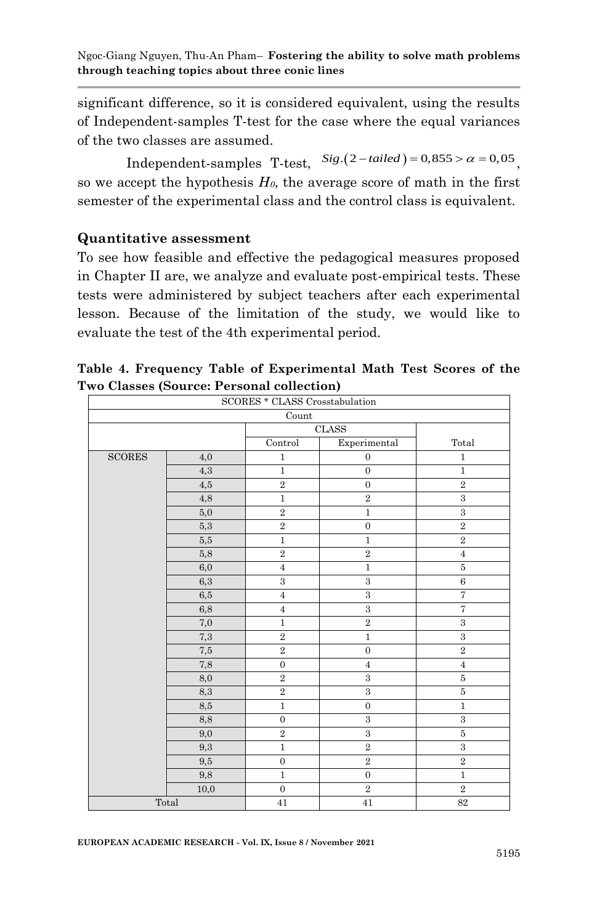significant difference, so it is considered equivalent, using the results of Independent-samples T-test for the case where the equal variances of the two classes are assumed.

wo classes are assumed.<br>Independent-samples T-test,  $Sig.(2-tailed) = 0,855 > \alpha = 0,05$ <sub>,</sub> so we accept the hypothesis  $H_0$ , the average score of math in the first semester of the experimental class and the control class is equivalent.

#### **Quantitative assessment**

To see how feasible and effective the pedagogical measures proposed in Chapter II are, we analyze and evaluate post-empirical tests. These tests were administered by subject teachers after each experimental lesson. Because of the limitation of the study, we would like to evaluate the test of the 4th experimental period.

| SCORES * CLASS Crosstabulation |           |                  |                  |                                 |  |  |  |  |  |
|--------------------------------|-----------|------------------|------------------|---------------------------------|--|--|--|--|--|
| Count                          |           |                  |                  |                                 |  |  |  |  |  |
|                                |           | <b>CLASS</b>     |                  |                                 |  |  |  |  |  |
|                                |           | Control          | Experimental     | $\operatorname{\mathsf{Total}}$ |  |  |  |  |  |
| $\operatorname{SCORES}$        | 4,0       | $\,1$            | $\boldsymbol{0}$ | $1\,$                           |  |  |  |  |  |
|                                | 4,3       | $\,1$            | $\boldsymbol{0}$ | $\,1$                           |  |  |  |  |  |
|                                | 4,5       | $\,2$            | $\mathbf{0}$     | $\overline{2}$                  |  |  |  |  |  |
|                                | 4,8       | $\,1$            | $\,2$            | 3                               |  |  |  |  |  |
|                                | 5,0       | $\,2$            | $1\,$            | $\,3$                           |  |  |  |  |  |
|                                | 5,3       | $\,2$            | $\overline{0}$   | $\,2\,$                         |  |  |  |  |  |
|                                | 5,5       | $\,1\,$          | $\,1$            | $\,2$                           |  |  |  |  |  |
|                                | 5,8       | $\,2\,$          | $\,2\,$          | $\overline{4}$                  |  |  |  |  |  |
|                                | 6,0       | $\sqrt{4}$       | $\,1$            | $\overline{5}$                  |  |  |  |  |  |
|                                | 6,3       | $\,3$            | $\,3$            | $\,6\,$                         |  |  |  |  |  |
|                                | 6,5       | $\,4\,$          | $\,3$            | $\overline{7}$                  |  |  |  |  |  |
|                                | 6,8       | $\sqrt{4}$       | $\,3$            | $\overline{7}$                  |  |  |  |  |  |
|                                | 7,0       | $\,1$            | $\,2$            | $\,3$                           |  |  |  |  |  |
|                                | 7,3       | $\,2$            | $\,1$            | $\,3$                           |  |  |  |  |  |
|                                | $\rm 7.5$ | $\,2$            | $\mathbf 0$      | $\,2$                           |  |  |  |  |  |
|                                | 7,8       | $\boldsymbol{0}$ | $\bf{4}$         | $\overline{4}$                  |  |  |  |  |  |
|                                | 8,0       | $\,2\,$          | $\boldsymbol{3}$ | $\bf 5$                         |  |  |  |  |  |
|                                | 8,3       | $\,2$            | $\sqrt{3}$       | $\bf 5$                         |  |  |  |  |  |
|                                | 8,5       | $\mathbf{1}$     | $\overline{0}$   | $\,1$                           |  |  |  |  |  |
|                                | 8,8       | $\boldsymbol{0}$ | $\,3$            | $\,3$                           |  |  |  |  |  |
|                                | 9,0       | $\,2$            | $\,3$            | $\bf 5$                         |  |  |  |  |  |
|                                | 9,3       | $\overline{1}$   | $\overline{2}$   | $\overline{3}$                  |  |  |  |  |  |
|                                | 9,5       | $\boldsymbol{0}$ | $\,2$            | $\,2$                           |  |  |  |  |  |
|                                | 9,8       | $\overline{1}$   | $\boldsymbol{0}$ | $\overline{1}$                  |  |  |  |  |  |
|                                | 10,0      | $\boldsymbol{0}$ | $\,2$            | $\,2\,$                         |  |  |  |  |  |
| Total                          |           | 41               | 41               | 82                              |  |  |  |  |  |

**Table 4. Frequency Table of Experimental Math Test Scores of the Two Classes (Source: Personal collection)**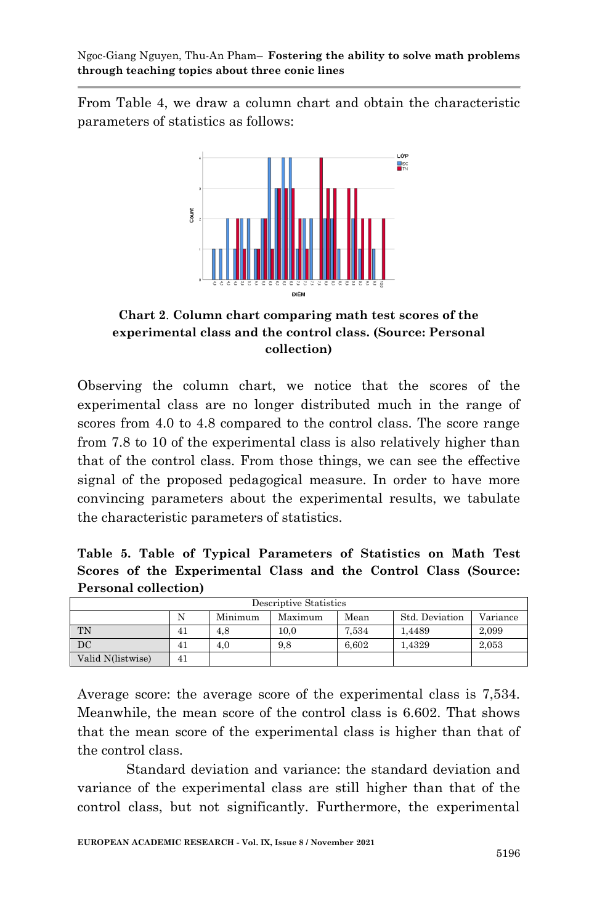From Table 4, we draw a column chart and obtain the characteristic parameters of statistics as follows:



**Chart 2**. **Column chart comparing math test scores of the experimental class and the control class. (Source: Personal collection)**

Observing the column chart, we notice that the scores of the experimental class are no longer distributed much in the range of scores from 4.0 to 4.8 compared to the control class. The score range from 7.8 to 10 of the experimental class is also relatively higher than that of the control class. From those things, we can see the effective signal of the proposed pedagogical measure. In order to have more convincing parameters about the experimental results, we tabulate the characteristic parameters of statistics.

**Table 5. Table of Typical Parameters of Statistics on Math Test Scores of the Experimental Class and the Control Class (Source: Personal collection)**

| Descriptive Statistics                                        |    |     |      |       |        |       |  |  |  |
|---------------------------------------------------------------|----|-----|------|-------|--------|-------|--|--|--|
| N<br>Minimum<br>Std. Deviation<br>Maximum<br>Mean<br>Variance |    |     |      |       |        |       |  |  |  |
| <b>TN</b>                                                     | 41 | 4.8 | 10.0 | 7.534 | 1.4489 | 2.099 |  |  |  |
| $_{\rm DC}$                                                   | 41 | 4.0 | 9.8  | 6.602 | 1.4329 | 2,053 |  |  |  |
| Valid N(listwise)                                             | 41 |     |      |       |        |       |  |  |  |

Average score: the average score of the experimental class is 7,534. Meanwhile, the mean score of the control class is 6.602. That shows that the mean score of the experimental class is higher than that of the control class.

Standard deviation and variance: the standard deviation and variance of the experimental class are still higher than that of the control class, but not significantly. Furthermore, the experimental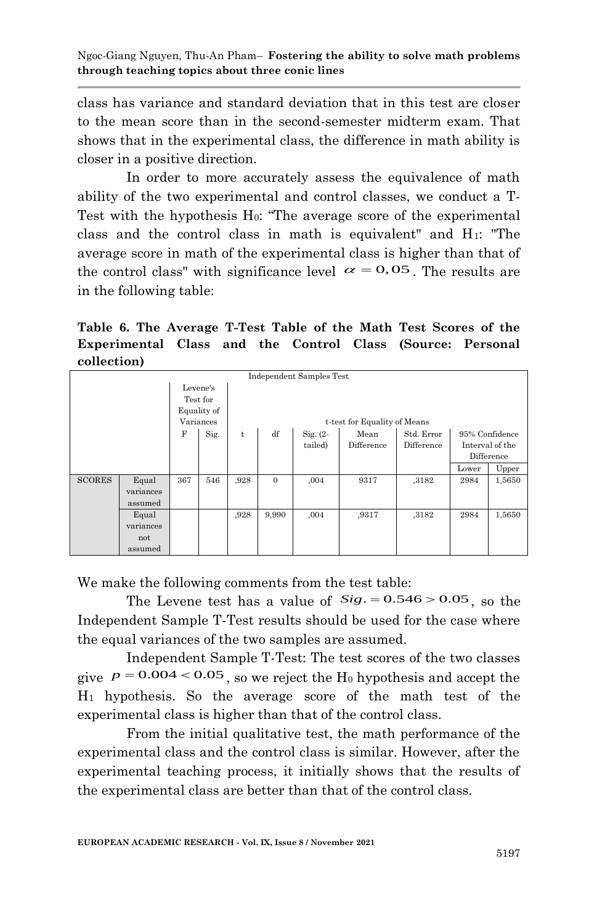class has variance and standard deviation that in this test are closer to the mean score than in the second-semester midterm exam. That shows that in the experimental class, the difference in math ability is closer in a positive direction.

In order to more accurately assess the equivalence of math ability of the two experimental and control classes, we conduct a T-Test with the hypothesis H<sub>0</sub>: "The average score of the experimental class and the control class in math is equivalent" and  $H_1$ : "The average score in math of the experimental class is higher than that of the control class" with significance level  $\alpha = 0.05$ . The results are in the following table:

**Table 6. The Average T-Test Table of the Math Test Scores of the Experimental Class and the Control Class (Source: Personal collection)**

|               | Independent Samples Test |     |      |                              |              |             |            |            |                 |                |  |  |
|---------------|--------------------------|-----|------|------------------------------|--------------|-------------|------------|------------|-----------------|----------------|--|--|
| Levene's      |                          |     |      |                              |              |             |            |            |                 |                |  |  |
| Test for      |                          |     |      |                              |              |             |            |            |                 |                |  |  |
| Equality of   |                          |     |      |                              |              |             |            |            |                 |                |  |  |
| Variances     |                          |     |      | t-test for Equality of Means |              |             |            |            |                 |                |  |  |
|               |                          | F   | Sig. | t                            | df           | $Sig. (2 -$ | Mean       | Std. Error |                 | 95% Confidence |  |  |
|               |                          |     |      |                              | tailed)      | Difference  | Difference |            | Interval of the |                |  |  |
|               |                          |     |      |                              |              |             |            | Difference |                 |                |  |  |
|               |                          |     |      |                              |              |             |            | Lower      | Upper           |                |  |  |
| <b>SCORES</b> | Equal                    | 367 | 546  | ,928                         | $\mathbf{0}$ | ,004        | 9317       | ,3182      | 2984            | 1,5650         |  |  |
|               | variances                |     |      |                              |              |             |            |            |                 |                |  |  |
|               | assumed                  |     |      |                              |              |             |            |            |                 |                |  |  |
|               | Equal                    |     |      | ,928                         | 9,990        | ,004        | ,9317      | ,3182      | 2984            | 1,5650         |  |  |
|               | variances                |     |      |                              |              |             |            |            |                 |                |  |  |
|               | not                      |     |      |                              |              |             |            |            |                 |                |  |  |
|               | assumed                  |     |      |                              |              |             |            |            |                 |                |  |  |

We make the following comments from the test table:

the Levene test has a value of *Sig*. = 0.546 > 0.05, so the Independent Sample T-Test results should be used for the case where the equal variances of the two samples are assumed.

Independent Sample T-Test: The test scores of the two classes give  $p = 0.004 < 0.05$ , so we reject the H<sub>0</sub> hypothesis and accept the H<sup>1</sup> hypothesis. So the average score of the math test of the experimental class is higher than that of the control class.

From the initial qualitative test, the math performance of the experimental class and the control class is similar. However, after the experimental teaching process, it initially shows that the results of the experimental class are better than that of the control class.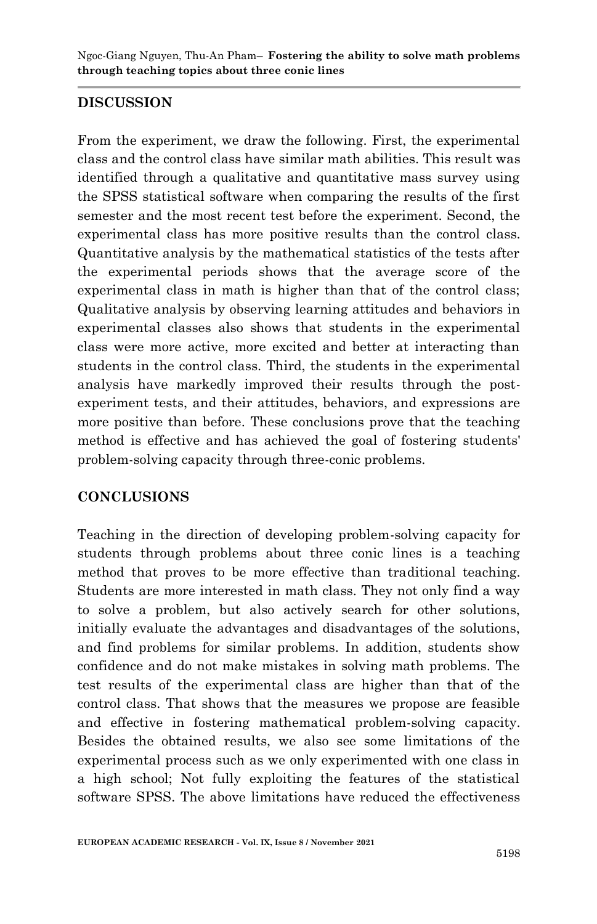## **DISCUSSION**

From the experiment, we draw the following. First, the experimental class and the control class have similar math abilities. This result was identified through a qualitative and quantitative mass survey using the SPSS statistical software when comparing the results of the first semester and the most recent test before the experiment. Second, the experimental class has more positive results than the control class. Quantitative analysis by the mathematical statistics of the tests after the experimental periods shows that the average score of the experimental class in math is higher than that of the control class; Qualitative analysis by observing learning attitudes and behaviors in experimental classes also shows that students in the experimental class were more active, more excited and better at interacting than students in the control class. Third, the students in the experimental analysis have markedly improved their results through the postexperiment tests, and their attitudes, behaviors, and expressions are more positive than before. These conclusions prove that the teaching method is effective and has achieved the goal of fostering students' problem-solving capacity through three-conic problems.

## **CONCLUSIONS**

Teaching in the direction of developing problem-solving capacity for students through problems about three conic lines is a teaching method that proves to be more effective than traditional teaching. Students are more interested in math class. They not only find a way to solve a problem, but also actively search for other solutions, initially evaluate the advantages and disadvantages of the solutions, and find problems for similar problems. In addition, students show confidence and do not make mistakes in solving math problems. The test results of the experimental class are higher than that of the control class. That shows that the measures we propose are feasible and effective in fostering mathematical problem-solving capacity. Besides the obtained results, we also see some limitations of the experimental process such as we only experimented with one class in a high school; Not fully exploiting the features of the statistical software SPSS. The above limitations have reduced the effectiveness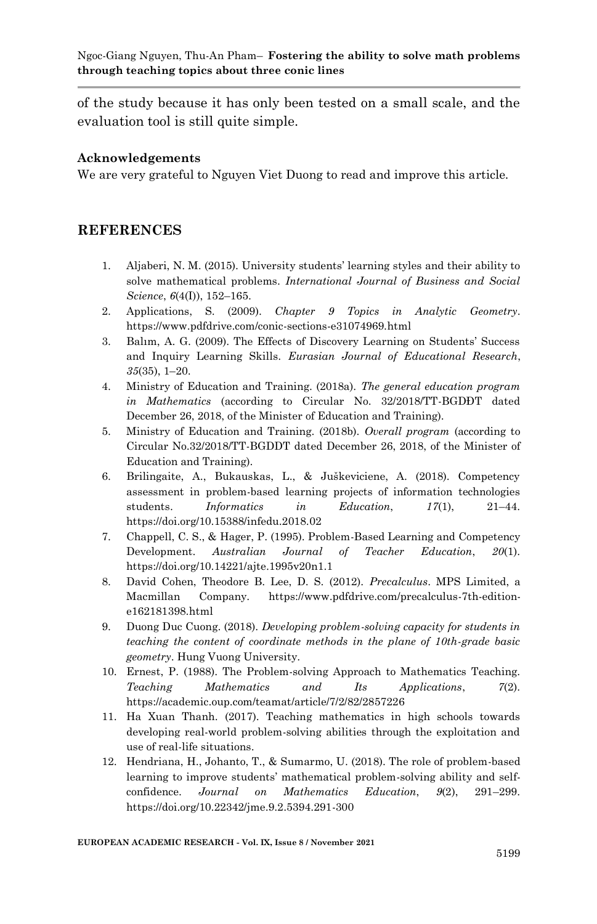of the study because it has only been tested on a small scale, and the evaluation tool is still quite simple.

#### **Acknowledgements**

We are very grateful to Nguyen Viet Duong to read and improve this article.

#### **REFERENCES**

- 1. Aljaberi, N. M. 2015). University students' learning styles and their ability to solve mathematical problems. *International Journal of Business and Social Science*, *6*(4(I)), 152–165.
- 2. Applications, S. (2009). *Chapter 9 Topics in Analytic Geometry*. https://www.pdfdrive.com/conic-sections-e31074969.html
- 3. Balım, A. G. 2009). The Effects of Discovery Learning on Students' Success and Inquiry Learning Skills. *Eurasian Journal of Educational Research*, *35*(35), 1–20.
- 4. Ministry of Education and Training. (2018a). *The general education program in Mathematics* (according to Circular No. 32/2018/TT-BGDĐT dated December 26, 2018, of the Minister of Education and Training).
- 5. Ministry of Education and Training. (2018b). *Overall program* (according to Circular No.32/2018/TT-BGDDT dated December 26, 2018, of the Minister of Education and Training).
- 6. Brilingaite, A., Bukauskas, L., & Juškeviciene, A. 2018). Competency assessment in problem-based learning projects of information technologies students. *Informatics in Education*, *17*(1), 21–44. https://doi.org/10.15388/infedu.2018.02
- 7. Chappell, C. S., & Hager, P. (1995). Problem-Based Learning and Competency Development. *Australian Journal of Teacher Education*, *20*(1). https://doi.org/10.14221/ajte.1995v20n1.1
- 8. David Cohen, Theodore B. Lee, D. S. (2012). *Precalculus*. MPS Limited, a Macmillan Company. https://www.pdfdrive.com/precalculus-7th-editione162181398.html
- 9. Duong Duc Cuong. (2018). *Developing problem-solving capacity for students in teaching the content of coordinate methods in the plane of 10th-grade basic geometry*. Hung Vuong University.
- 10. Ernest, P. (1988). The Problem-solving Approach to Mathematics Teaching. *Teaching Mathematics and Its Applications*, *7*(2). https://academic.oup.com/teamat/article/7/2/82/2857226
- 11. Ha Xuan Thanh. (2017). Teaching mathematics in high schools towards developing real-world problem-solving abilities through the exploitation and use of real-life situations.
- 12. Hendriana, H., Johanto, T., & Sumarmo, U. (2018). The role of problem-based learning to improve students' mathematical problem-solving ability and selfconfidence. *Journal on Mathematics Education*, *9*(2), 291–299. https://doi.org/10.22342/jme.9.2.5394.291-300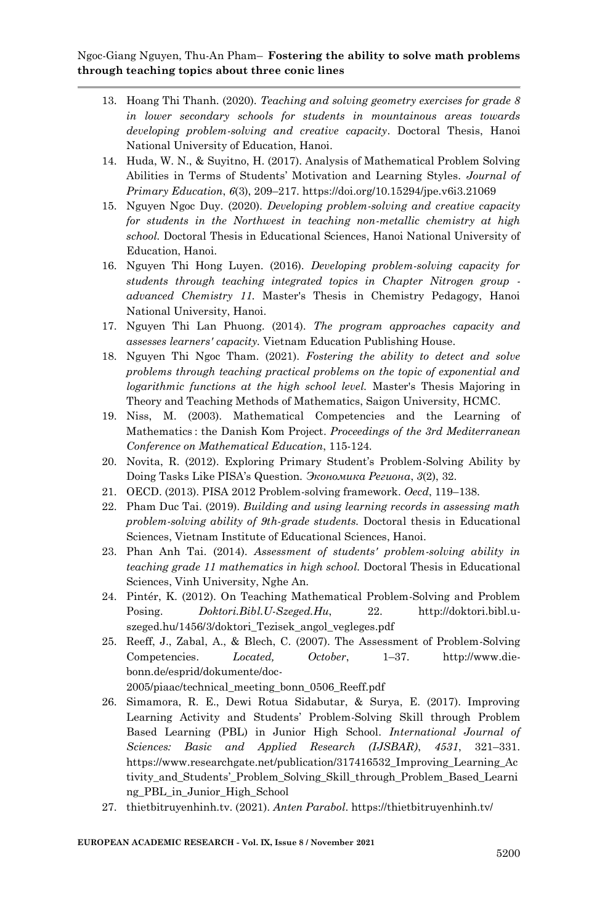- 13. Hoang Thi Thanh. (2020). *Teaching and solving geometry exercises for grade 8 in lower secondary schools for students in mountainous areas towards developing problem-solving and creative capacity*. Doctoral Thesis, Hanoi National University of Education, Hanoi.
- 14. Huda, W. N., & Suyitno, H. (2017). Analysis of Mathematical Problem Solving Abilities in Terms of Students' Motivation and Learning Styles. *Journal of Primary Education*, *6*(3), 209–217. https://doi.org/10.15294/jpe.v6i3.21069
- 15. Nguyen Ngoc Duy. (2020). *Developing problem-solving and creative capacity for students in the Northwest in teaching non-metallic chemistry at high school.* Doctoral Thesis in Educational Sciences, Hanoi National University of Education, Hanoi.
- 16. Nguyen Thi Hong Luyen. (2016). *Developing problem-solving capacity for students through teaching integrated topics in Chapter Nitrogen group advanced Chemistry 11.* Master's Thesis in Chemistry Pedagogy, Hanoi National University, Hanoi.
- 17. Nguyen Thi Lan Phuong. (2014). *The program approaches capacity and assesses learners' capacity.* Vietnam Education Publishing House.
- 18. Nguyen Thi Ngoc Tham. (2021). *Fostering the ability to detect and solve problems through teaching practical problems on the topic of exponential and logarithmic functions at the high school level.* Master's Thesis Majoring in Theory and Teaching Methods of Mathematics, Saigon University, HCMC.
- 19. Niss, M. (2003). Mathematical Competencies and the Learning of Mathematics : the Danish Kom Project. *Proceedings of the 3rd Mediterranean Conference on Mathematical Education*, 115-124.
- 20. Novita, R. 2012). Exploring Primary Student's Problem-Solving Ability by Doing Tasks Like PISA's Question. *Экономика Региона*, *3*(2), 32.
- 21. OECD. (2013). PISA 2012 Problem-solving framework. *Oecd*, 119–138.
- 22. Pham Duc Tai. (2019). *Building and using learning records in assessing math problem-solving ability of 9th-grade students.* Doctoral thesis in Educational Sciences, Vietnam Institute of Educational Sciences, Hanoi.
- 23. Phan Anh Tai. (2014). *Assessment of students' problem-solving ability in teaching grade 11 mathematics in high school.* Doctoral Thesis in Educational Sciences, Vinh University, Nghe An.
- 24. Pintér, K. (2012). On Teaching Mathematical Problem-Solving and Problem Posing. *Doktori.Bibl.U-Szeged.Hu*, 22. http://doktori.bibl.uszeged.hu/1456/3/doktori\_Tezisek\_angol\_vegleges.pdf
- 25. Reeff, J., Zabal, A., & Blech, C. (2007). The Assessment of Problem-Solving Competencies. *Located, October*, 1–37. http://www.diebonn.de/esprid/dokumente/doc-

2005/piaac/technical\_meeting\_bonn\_0506\_Reeff.pdf

- 26. Simamora, R. E., Dewi Rotua Sidabutar, & Surya, E. (2017). Improving Learning Activity and Students' Problem-Solving Skill through Problem Based Learning (PBL) in Junior High School. *International Journal of Sciences: Basic and Applied Research (IJSBAR)*, *4531*, 321–331. https://www.researchgate.net/publication/317416532\_Improving\_Learning\_Ac tivity\_and\_Students'\_Problem\_Solving\_Skill\_through\_Problem\_Based\_Learni ng\_PBL\_in\_Junior\_High\_School
- 27. thietbitruyenhinh.tv. (2021). *Anten Parabol*. https://thietbitruyenhinh.tv/